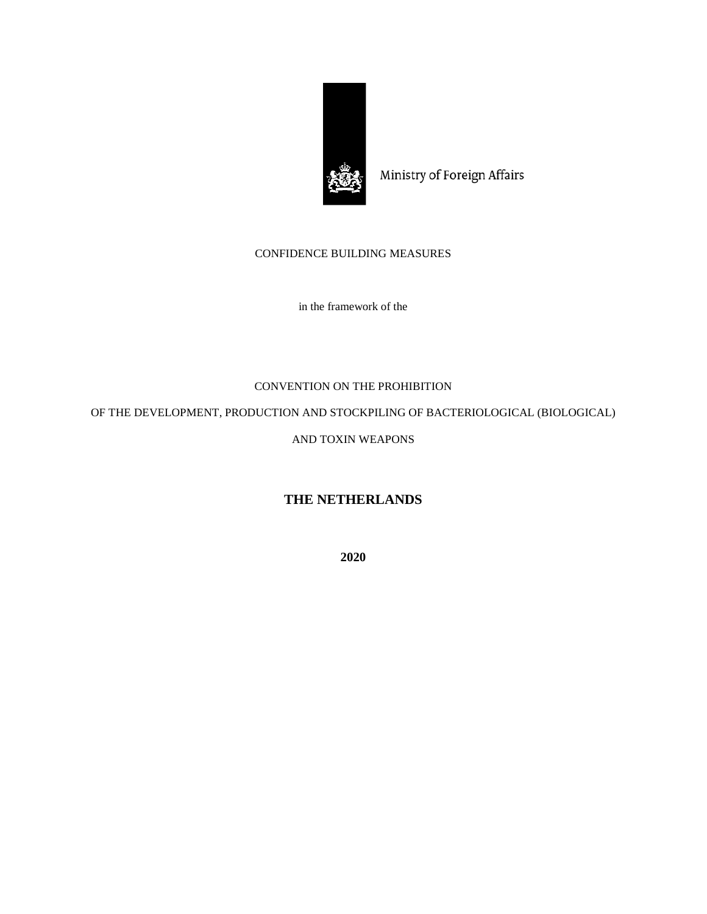

Ministry of Foreign Affairs

# CONFIDENCE BUILDING MEASURES

in the framework of the

# CONVENTION ON THE PROHIBITION

OF THE DEVELOPMENT, PRODUCTION AND STOCKPILING OF BACTERIOLOGICAL (BIOLOGICAL)

# AND TOXIN WEAPONS

# **THE NETHERLANDS**

**2020**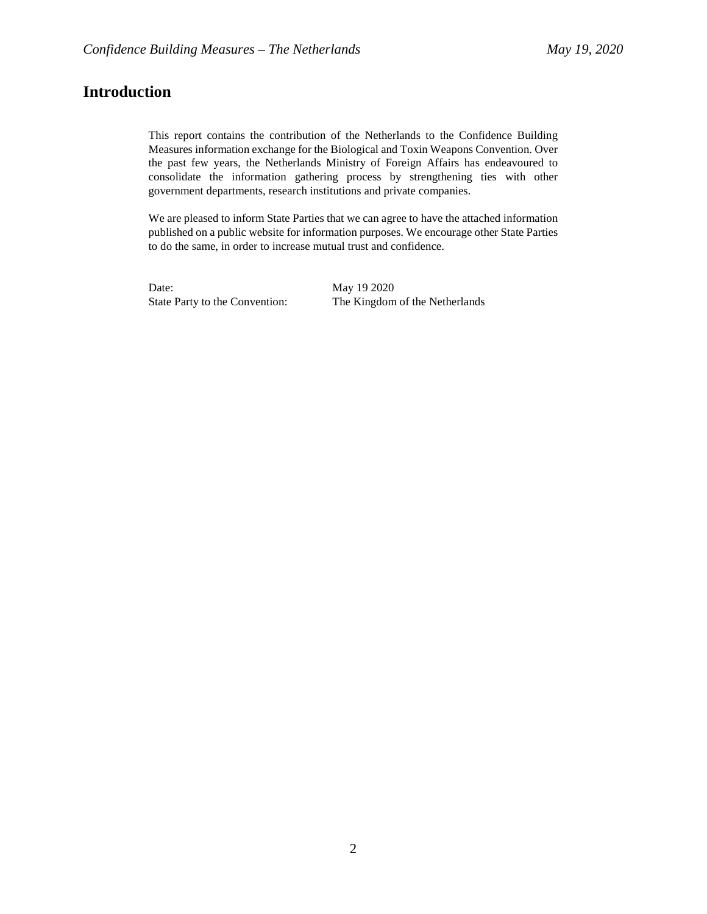# **Introduction**

This report contains the contribution of the Netherlands to the Confidence Building Measures information exchange for the Biological and Toxin Weapons Convention. Over the past few years, the Netherlands Ministry of Foreign Affairs has endeavoured to consolidate the information gathering process by strengthening ties with other government departments, research institutions and private companies.

We are pleased to inform State Parties that we can agree to have the attached information published on a public website for information purposes. We encourage other State Parties to do the same, in order to increase mutual trust and confidence.

Date: May 19 2020

State Party to the Convention: The Kingdom of the Netherlands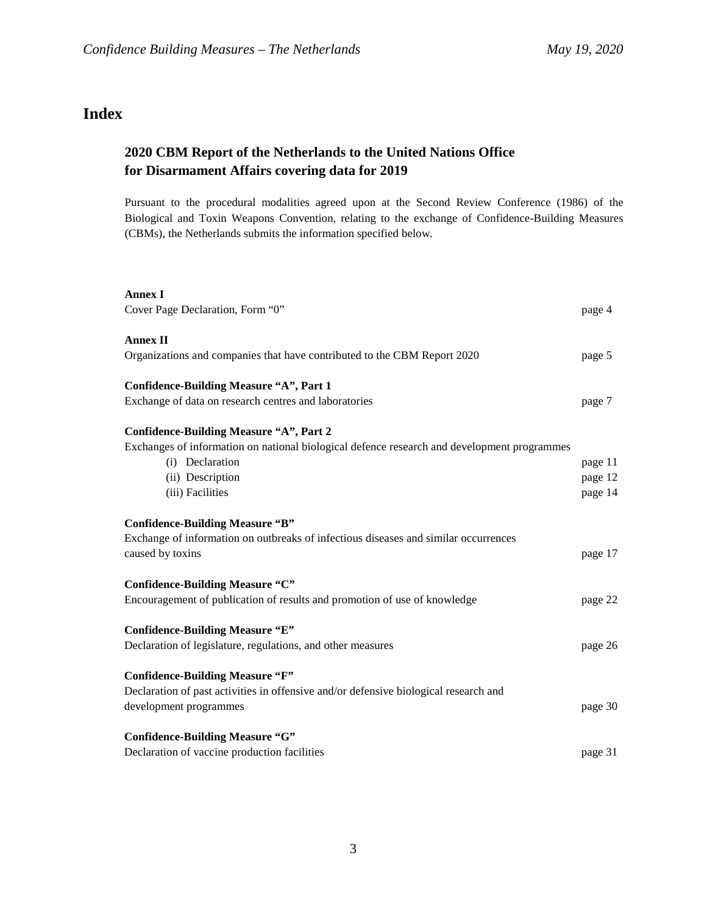# **Index**

# **2020 CBM Report of the Netherlands to the United Nations Office for Disarmament Affairs covering data for 2019**

Pursuant to the procedural modalities agreed upon at the Second Review Conference (1986) of the Biological and Toxin Weapons Convention, relating to the exchange of Confidence-Building Measures (CBMs), the Netherlands submits the information specified below.

| <b>Annex I</b>                                                                              |         |
|---------------------------------------------------------------------------------------------|---------|
| Cover Page Declaration, Form "0"                                                            | page 4  |
| <b>Annex II</b>                                                                             |         |
| Organizations and companies that have contributed to the CBM Report 2020                    | page 5  |
| Confidence-Building Measure "A", Part 1                                                     |         |
| Exchange of data on research centres and laboratories                                       | page 7  |
| <b>Confidence-Building Measure "A", Part 2</b>                                              |         |
| Exchanges of information on national biological defence research and development programmes |         |
| (i) Declaration                                                                             | page 11 |
| (ii) Description                                                                            | page 12 |
| (iii) Facilities                                                                            | page 14 |
| <b>Confidence-Building Measure "B"</b>                                                      |         |
| Exchange of information on outbreaks of infectious diseases and similar occurrences         |         |
| caused by toxins                                                                            | page 17 |
| Confidence-Building Measure "C"                                                             |         |
| Encouragement of publication of results and promotion of use of knowledge                   | page 22 |
| <b>Confidence-Building Measure "E"</b>                                                      |         |
| Declaration of legislature, regulations, and other measures                                 | page 26 |
| <b>Confidence-Building Measure "F"</b>                                                      |         |
| Declaration of past activities in offensive and/or defensive biological research and        |         |
| development programmes                                                                      | page 30 |
| <b>Confidence-Building Measure "G"</b>                                                      |         |
| Declaration of vaccine production facilities                                                | page 31 |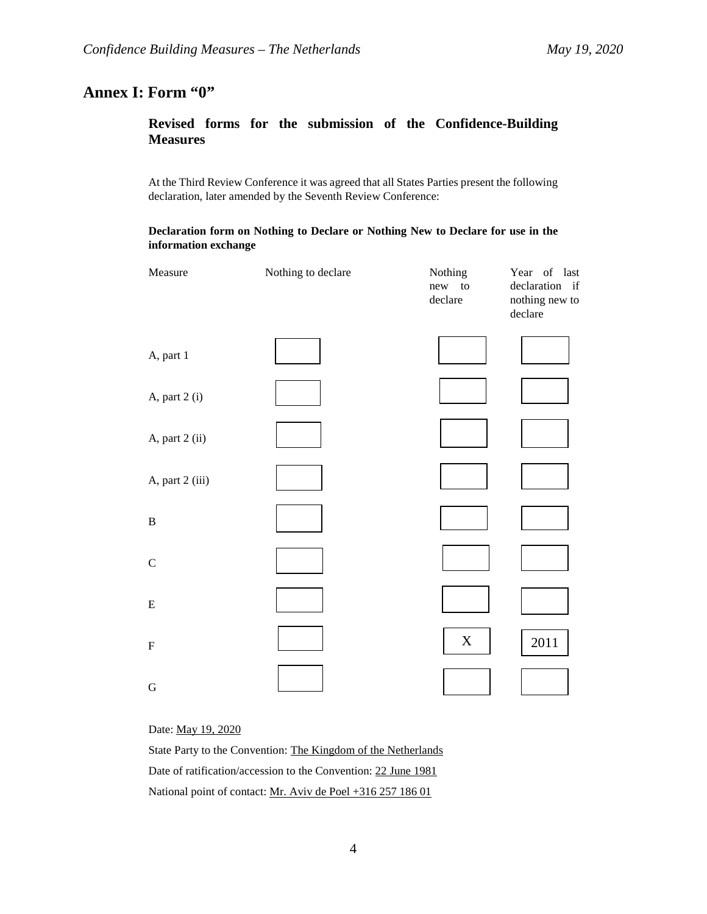# **Annex I: Form "0"**

# **Revised forms for the submission of the Confidence-Building Measures**

At the Third Review Conference it was agreed that all States Parties present the following declaration, later amended by the Seventh Review Conference:

### **Declaration form on Nothing to Declare or Nothing New to Declare for use in the information exchange**

| Measure         | Nothing to declare | Nothing<br>new to<br>declare | Year of last<br>declaration if<br>nothing new to<br>declare |
|-----------------|--------------------|------------------------------|-------------------------------------------------------------|
| A, part 1       |                    |                              |                                                             |
| A, part 2 (i)   |                    |                              |                                                             |
| A, part 2 (ii)  |                    |                              |                                                             |
| A, part 2 (iii) |                    |                              |                                                             |
| $\, {\bf B}$    |                    |                              |                                                             |
| $\mathsf C$     |                    |                              |                                                             |
| ${\bf E}$       |                    |                              |                                                             |
| $\mathbf F$     |                    | $\boldsymbol{\mathrm{X}}$    | 2011                                                        |
| $\mathbf G$     |                    |                              |                                                             |

Date: May 19, 2020

State Party to the Convention: The Kingdom of the Netherlands Date of ratification/accession to the Convention: 22 June 1981 National point of contact: Mr. Aviv de Poel +316 257 186 01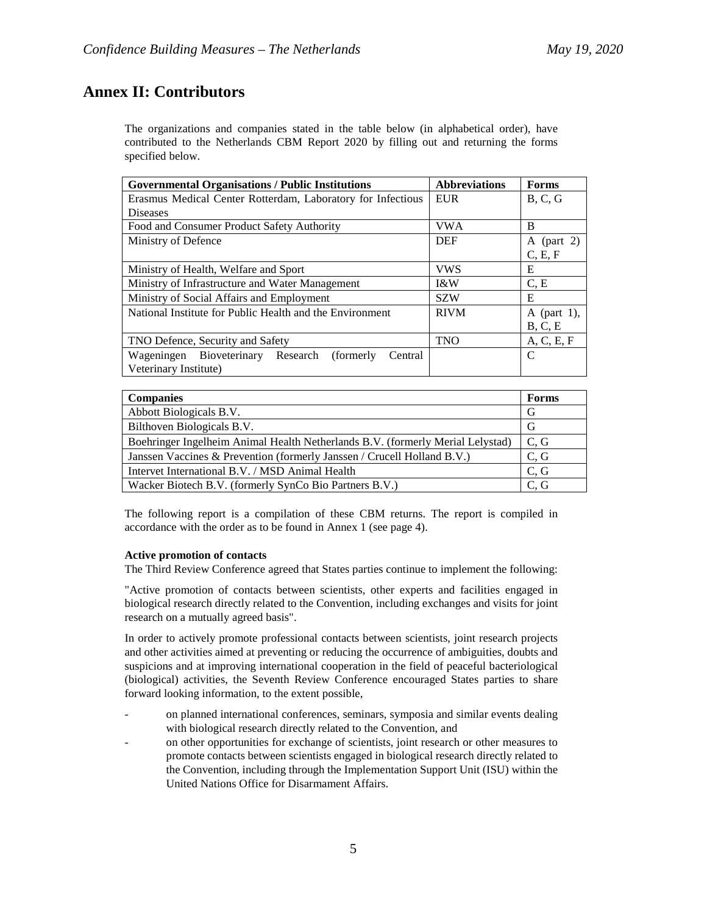# **Annex II: Contributors**

The organizations and companies stated in the table below (in alphabetical order), have contributed to the Netherlands CBM Report 2020 by filling out and returning the forms specified below.

| <b>Governmental Organisations / Public Institutions</b>     | <b>Abbreviations</b> | <b>Forms</b>  |
|-------------------------------------------------------------|----------------------|---------------|
| Erasmus Medical Center Rotterdam, Laboratory for Infectious | <b>EUR</b>           | B, C, G       |
| <b>Diseases</b>                                             |                      |               |
| Food and Consumer Product Safety Authority                  | <b>VWA</b>           | B             |
| Ministry of Defence                                         | <b>DEF</b>           | A (part 2)    |
|                                                             |                      | C, E, F       |
| Ministry of Health, Welfare and Sport                       | <b>VWS</b>           | E             |
| Ministry of Infrastructure and Water Management             | <b>I&amp;W</b>       | C, E          |
| Ministry of Social Affairs and Employment                   | <b>SZW</b>           | E             |
| National Institute for Public Health and the Environment    | <b>RIVM</b>          | A (part 1),   |
|                                                             |                      | B, C, E       |
| TNO Defence, Security and Safety                            | <b>TNO</b>           | A, C, E, F    |
| Wageningen Bioveterinary Research<br>Central<br>(formerly)  |                      | $\mathcal{C}$ |
| Veterinary Institute)                                       |                      |               |

| <b>Companies</b>                                                               | Forms |
|--------------------------------------------------------------------------------|-------|
| Abbott Biologicals B.V.                                                        | G     |
| Bilthoven Biologicals B.V.                                                     | G     |
| Boehringer Ingelheim Animal Health Netherlands B.V. (formerly Merial Lelystad) | C, G  |
| Janssen Vaccines & Prevention (formerly Janssen / Crucell Holland B.V.)        | C, G  |
| Intervet International B.V. / MSD Animal Health                                | C, G  |
| Wacker Biotech B.V. (formerly SynCo Bio Partners B.V.)                         | C. G  |

The following report is a compilation of these CBM returns. The report is compiled in accordance with the order as to be found in Annex 1 (see page 4).

### **Active promotion of contacts**

The Third Review Conference agreed that States parties continue to implement the following:

"Active promotion of contacts between scientists, other experts and facilities engaged in biological research directly related to the Convention, including exchanges and visits for joint research on a mutually agreed basis".

In order to actively promote professional contacts between scientists, joint research projects and other activities aimed at preventing or reducing the occurrence of ambiguities, doubts and suspicions and at improving international cooperation in the field of peaceful bacteriological (biological) activities, the Seventh Review Conference encouraged States parties to share forward looking information, to the extent possible,

- on planned international conferences, seminars, symposia and similar events dealing with biological research directly related to the Convention, and
- on other opportunities for exchange of scientists, joint research or other measures to promote contacts between scientists engaged in biological research directly related to the Convention, including through the Implementation Support Unit (ISU) within the United Nations Office for Disarmament Affairs.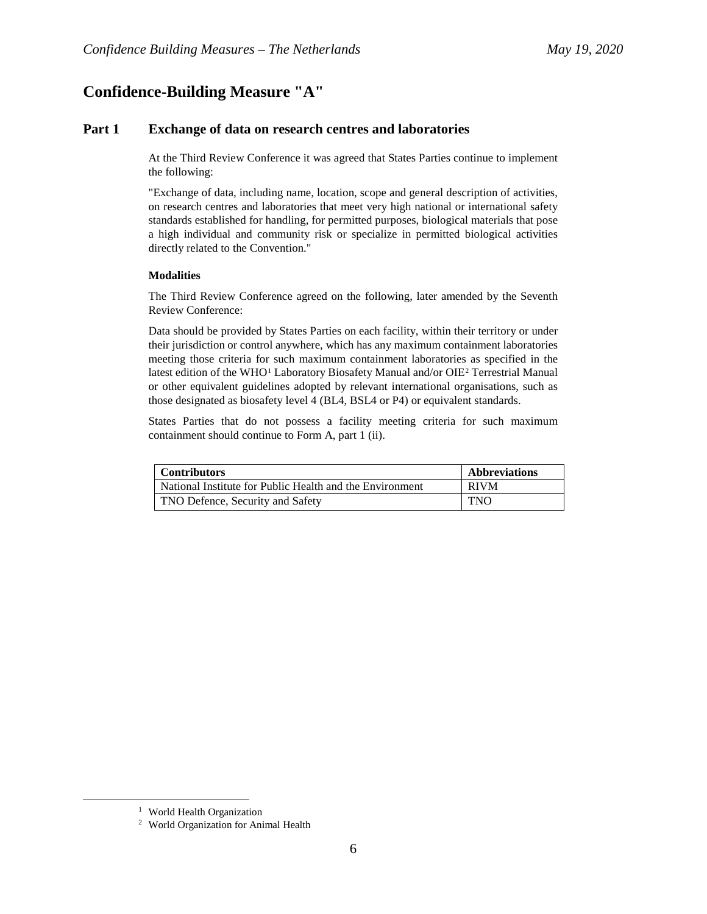# **Confidence-Building Measure "A"**

## **Part 1 Exchange of data on research centres and laboratories**

At the Third Review Conference it was agreed that States Parties continue to implement the following:

"Exchange of data, including name, location, scope and general description of activities, on research centres and laboratories that meet very high national or international safety standards established for handling, for permitted purposes, biological materials that pose a high individual and community risk or specialize in permitted biological activities directly related to the Convention."

### **Modalities**

The Third Review Conference agreed on the following, later amended by the Seventh Review Conference:

Data should be provided by States Parties on each facility, within their territory or under their jurisdiction or control anywhere, which has any maximum containment laboratories meeting those criteria for such maximum containment laboratories as specified in the latest edition of the WHO<sup>[1](#page-5-0)</sup> Laboratory Biosafety Manual and/or OIE<sup>[2](#page-5-1)</sup> Terrestrial Manual or other equivalent guidelines adopted by relevant international organisations, such as those designated as biosafety level 4 (BL4, BSL4 or P4) or equivalent standards.

States Parties that do not possess a facility meeting criteria for such maximum containment should continue to Form A, part 1 (ii).

| <b>Contributors</b>                                      | <b>Abbreviations</b> |
|----------------------------------------------------------|----------------------|
| National Institute for Public Health and the Environment | <b>RIVM</b>          |
| TNO Defence, Security and Safety                         | <b>TNO</b>           |

<span id="page-5-1"></span><span id="page-5-0"></span><sup>&</sup>lt;sup>1</sup> World Health Organization  $\frac{2}{1}$  World Organization for Animal Health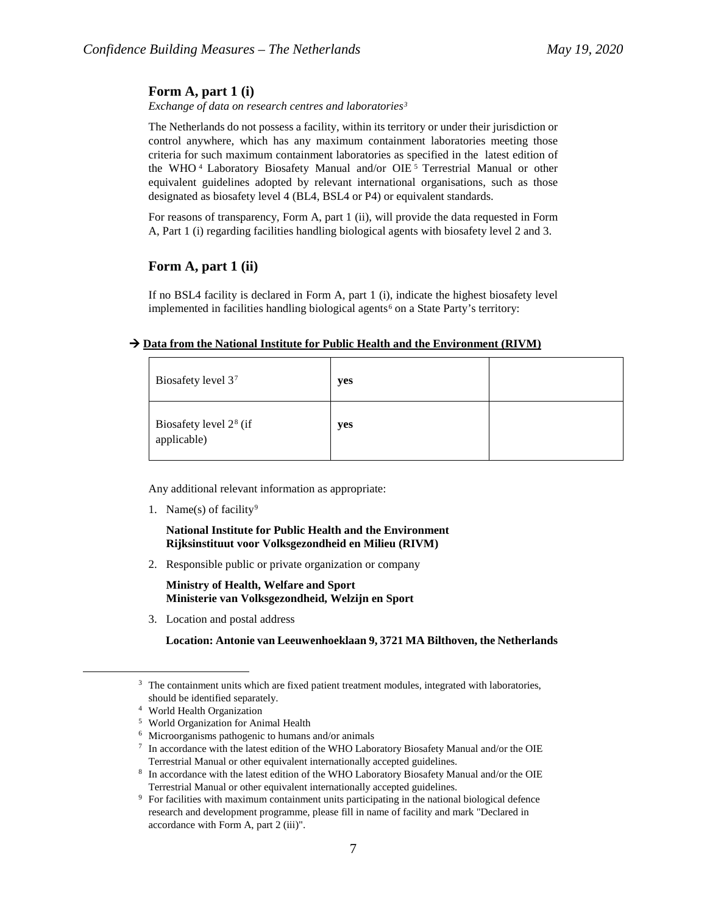### **Form A, part 1 (i)**

*Exchange of data on research centres and laboratories[3](#page-6-0)*

The Netherlands do not possess a facility, within its territory or under their jurisdiction or control anywhere, which has any maximum containment laboratories meeting those criteria for such maximum containment laboratories as specified in the latest edition of the WHO<sup>[4](#page-6-1)</sup> Laboratory Biosafety Manual and/or OIE<sup>[5](#page-6-2)</sup> Terrestrial Manual or other equivalent guidelines adopted by relevant international organisations, such as those designated as biosafety level 4 (BL4, BSL4 or P4) or equivalent standards.

For reasons of transparency, Form A, part 1 (ii), will provide the data requested in Form A, Part 1 (i) regarding facilities handling biological agents with biosafety level 2 and 3.

### **Form A, part 1 (ii)**

If no BSL4 facility is declared in Form A, part 1 (i), indicate the highest biosafety level implemented in facilities handling biological agents<sup>[6](#page-6-3)</sup> on a State Party's territory:

### → Data from the National Institute for Public Health and the Environment (RIVM)

| Biosafety level 37                                | yes |  |
|---------------------------------------------------|-----|--|
| Biosafety level 2 <sup>8</sup> (if<br>applicable) | yes |  |

Any additional relevant information as appropriate:

1. Name(s) of facility<sup>[9](#page-6-6)</sup>

**National Institute for Public Health and the Environment Rijksinstituut voor Volksgezondheid en Milieu (RIVM)**

2. Responsible public or private organization or company

**Ministry of Health, Welfare and Sport Ministerie van Volksgezondheid, Welzijn en Sport**

3. Location and postal address

**Location: Antonie van Leeuwenhoeklaan 9, 3721 MA Bilthoven, the Netherlands**

<span id="page-6-0"></span><sup>&</sup>lt;sup>3</sup> The containment units which are fixed patient treatment modules, integrated with laboratories, should be identified separately.<br>
4 World Health Organization<br>
5 World Organization for Animal Health<br>
6 Microorganisms pathogenic to humans and/or animals<br>
7 In accordance with the latest edition of the WHO Laboratory Bio

<span id="page-6-2"></span><span id="page-6-1"></span>

<span id="page-6-3"></span>

<span id="page-6-5"></span><span id="page-6-4"></span>Terrestrial Manual or other equivalent internationally accepted guidelines. 8 In accordance with the latest edition of the WHO Laboratory Biosafety Manual and/or the OIE

<span id="page-6-6"></span>Terrestrial Manual or other equivalent internationally accepted guidelines. 9 For facilities with maximum containment units participating in the national biological defence research and development programme, please fill in name of facility and mark "Declared in accordance with Form A, part 2 (iii)".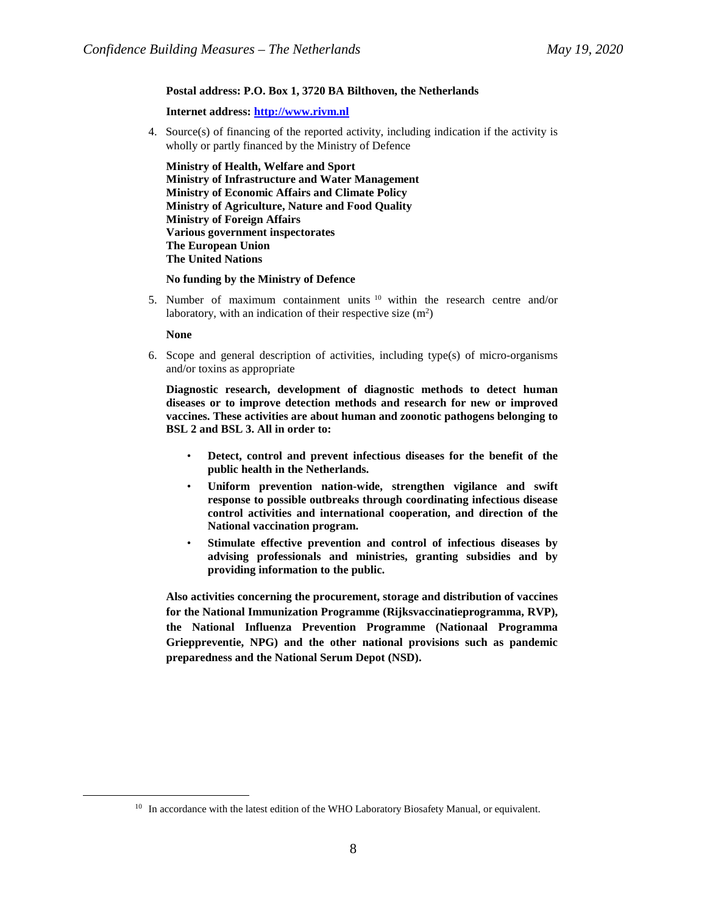#### **Postal address: P.O. Box 1, 3720 BA Bilthoven, the Netherlands**

**Internet address: [http://www.rivm.nl](http://www.rivm.nl/)**

4. Source(s) of financing of the reported activity, including indication if the activity is wholly or partly financed by the Ministry of Defence

**Ministry of Health, Welfare and Sport Ministry of Infrastructure and Water Management Ministry of Economic Affairs and Climate Policy Ministry of Agriculture, Nature and Food Quality Ministry of Foreign Affairs Various government inspectorates The European Union The United Nations**

#### **No funding by the Ministry of Defence**

5. Number of maximum containment units [10](#page-7-0) within the research centre and/or laboratory, with an indication of their respective size  $(m^2)$ 

#### **None**

6. Scope and general description of activities, including type(s) of micro-organisms and/or toxins as appropriate

**Diagnostic research, development of diagnostic methods to detect human diseases or to improve detection methods and research for new or improved vaccines. These activities are about human and zoonotic pathogens belonging to BSL 2 and BSL 3. All in order to:** 

- **Detect, control and prevent infectious diseases for the benefit of the public health in the Netherlands.**
- **Uniform prevention nation-wide, strengthen vigilance and swift response to possible outbreaks through coordinating infectious disease control activities and international cooperation, and direction of the National vaccination program.**
- **Stimulate effective prevention and control of infectious diseases by advising professionals and ministries, granting subsidies and by providing information to the public.**

**Also activities concerning the procurement, storage and distribution of vaccines for the National Immunization Programme (Rijksvaccinatieprogramma, RVP), the National Influenza Prevention Programme (Nationaal Programma Grieppreventie, NPG) and the other national provisions such as pandemic preparedness and the National Serum Depot (NSD).**

<span id="page-7-0"></span><sup>&</sup>lt;sup>10</sup> In accordance with the latest edition of the WHO Laboratory Biosafety Manual, or equivalent.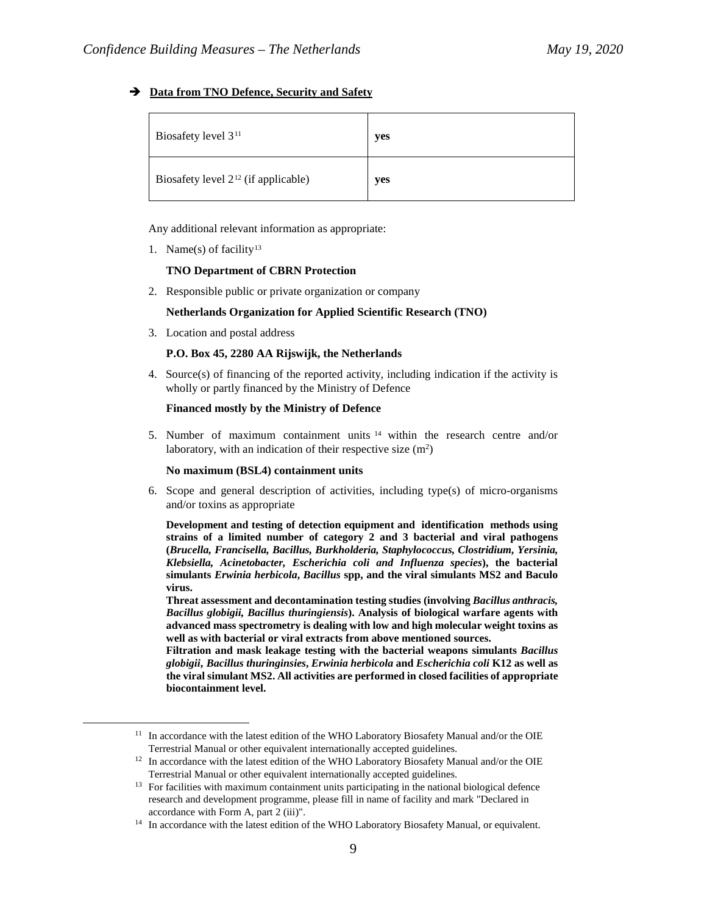### **Data from TNO Defence, Security and Safety**

| Biosafety level 3 <sup>11</sup>          | yes |
|------------------------------------------|-----|
| Biosafety level $2^{12}$ (if applicable) | yes |

Any additional relevant information as appropriate:

1. Name(s) of facility<sup>[13](#page-8-2)</sup>

### **TNO Department of CBRN Protection**

2. Responsible public or private organization or company

#### **Netherlands Organization for Applied Scientific Research (TNO)**

3. Location and postal address

### **P.O. Box 45, 2280 AA Rijswijk, the Netherlands**

4. Source(s) of financing of the reported activity, including indication if the activity is wholly or partly financed by the Ministry of Defence

#### **Financed mostly by the Ministry of Defence**

5. Number of maximum containment units [14](#page-8-3) within the research centre and/or laboratory, with an indication of their respective size  $(m^2)$ 

#### **No maximum (BSL4) containment units**

6. Scope and general description of activities, including type(s) of micro-organisms and/or toxins as appropriate

**Development and testing of detection equipment and identification methods using strains of a limited number of category 2 and 3 bacterial and viral pathogens (***Brucella, Francisella, Bacillus, Burkholderia, Staphylococcus, Clostridium, Yersinia, Klebsiella, Acinetobacter, Escherichia coli and Influenza species***), the bacterial simulants** *Erwinia herbicola***,** *Bacillus* **spp, and the viral simulants MS2 and Baculo virus.**

**Threat assessment and decontamination testing studies (involving** *Bacillus anthracis, Bacillus globigii, Bacillus thuringiensis***). Analysis of biological warfare agents with advanced mass spectrometry is dealing with low and high molecular weight toxins as well as with bacterial or viral extracts from above mentioned sources.**

**Filtration and mask leakage testing with the bacterial weapons simulants** *Bacillus globigii***,** *Bacillus thuringinsies***,** *Erwinia herbicola* **and** *Escherichia coli* **K12 as well as the viral simulant MS2. All activities are performed in closed facilities of appropriate biocontainment level.**

<span id="page-8-0"></span><sup>&</sup>lt;sup>11</sup> In accordance with the latest edition of the WHO Laboratory Biosafety Manual and/or the OIE Terrestrial Manual or other equivalent internationally accepted guidelines. 12 In accordance with the latest edition of the WHO Laboratory Biosafety Manual and/or the OIE

<span id="page-8-1"></span>Terrestrial Manual or other equivalent internationally accepted guidelines. 13 For facilities with maximum containment units participating in the national biological defence

<span id="page-8-2"></span>research and development programme, please fill in name of facility and mark "Declared in accordance with Form A, part 2 (iii)".<br><sup>14</sup> In accordance with the latest edition of the WHO Laboratory Biosafety Manual, or equivalent.

<span id="page-8-3"></span>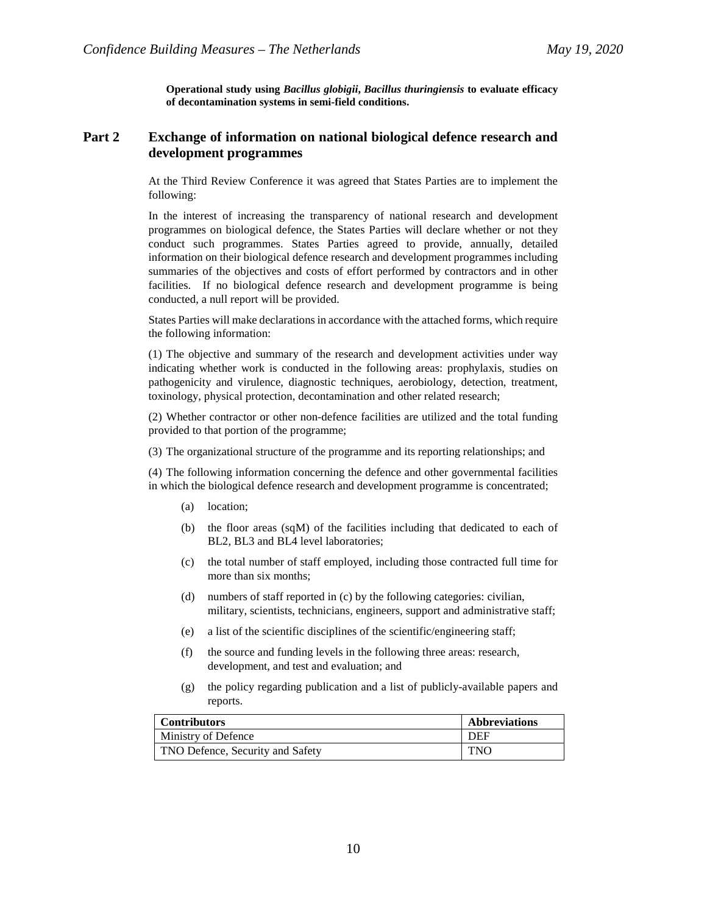**Operational study using** *Bacillus globigii***,** *Bacillus thuringiensis* **to evaluate efficacy of decontamination systems in semi-field conditions.**

# **Part 2 Exchange of information on national biological defence research and development programmes**

At the Third Review Conference it was agreed that States Parties are to implement the following:

In the interest of increasing the transparency of national research and development programmes on biological defence, the States Parties will declare whether or not they conduct such programmes. States Parties agreed to provide, annually, detailed information on their biological defence research and development programmes including summaries of the objectives and costs of effort performed by contractors and in other facilities. If no biological defence research and development programme is being conducted, a null report will be provided.

States Parties will make declarations in accordance with the attached forms, which require the following information:

(1) The objective and summary of the research and development activities under way indicating whether work is conducted in the following areas: prophylaxis, studies on pathogenicity and virulence, diagnostic techniques, aerobiology, detection, treatment, toxinology, physical protection, decontamination and other related research;

(2) Whether contractor or other non-defence facilities are utilized and the total funding provided to that portion of the programme;

(3) The organizational structure of the programme and its reporting relationships; and

(4) The following information concerning the defence and other governmental facilities in which the biological defence research and development programme is concentrated;

- (a) location;
- (b) the floor areas (sqM) of the facilities including that dedicated to each of BL2, BL3 and BL4 level laboratories;
- (c) the total number of staff employed, including those contracted full time for more than six months;
- (d) numbers of staff reported in (c) by the following categories: civilian, military, scientists, technicians, engineers, support and administrative staff;
- (e) a list of the scientific disciplines of the scientific/engineering staff;
- (f) the source and funding levels in the following three areas: research, development, and test and evaluation; and
- (g) the policy regarding publication and a list of publicly-available papers and reports.

| <b>Contributors</b>              | <b>Abbreviations</b> |
|----------------------------------|----------------------|
| Ministry of Defence              | DEF                  |
| TNO Defence, Security and Safety | <b>TNO</b>           |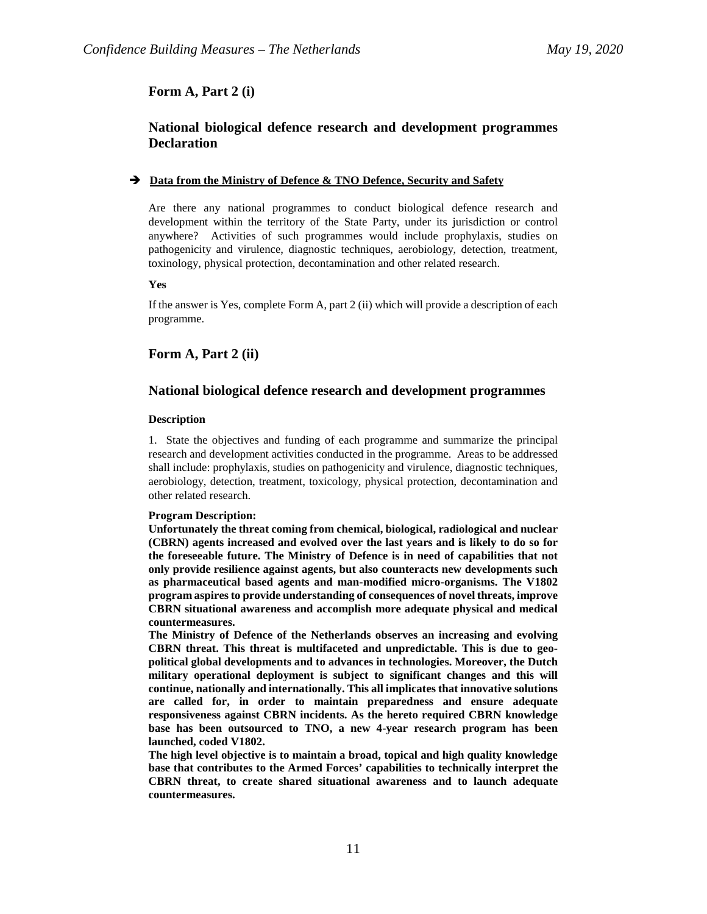## **Form A, Part 2 (i)**

# **National biological defence research and development programmes Declaration**

### $\rightarrow$  Data from the Ministry of Defence & TNO Defence, Security and Safety

Are there any national programmes to conduct biological defence research and development within the territory of the State Party, under its jurisdiction or control anywhere? Activities of such programmes would include prophylaxis, studies on pathogenicity and virulence, diagnostic techniques, aerobiology, detection, treatment, toxinology, physical protection, decontamination and other related research.

#### **Yes**

If the answer is Yes, complete Form A, part 2 (ii) which will provide a description of each programme.

### **Form A, Part 2 (ii)**

### **National biological defence research and development programmes**

#### **Description**

1. State the objectives and funding of each programme and summarize the principal research and development activities conducted in the programme. Areas to be addressed shall include: prophylaxis, studies on pathogenicity and virulence, diagnostic techniques, aerobiology, detection, treatment, toxicology, physical protection, decontamination and other related research.

### **Program Description:**

**Unfortunately the threat coming from chemical, biological, radiological and nuclear (CBRN) agents increased and evolved over the last years and is likely to do so for the foreseeable future. The Ministry of Defence is in need of capabilities that not only provide resilience against agents, but also counteracts new developments such as pharmaceutical based agents and man-modified micro-organisms. The V1802 program aspires to provide understanding of consequences of novel threats, improve CBRN situational awareness and accomplish more adequate physical and medical countermeasures.**

**The Ministry of Defence of the Netherlands observes an increasing and evolving CBRN threat. This threat is multifaceted and unpredictable. This is due to geopolitical global developments and to advances in technologies. Moreover, the Dutch military operational deployment is subject to significant changes and this will continue, nationally and internationally. This all implicates that innovative solutions are called for, in order to maintain preparedness and ensure adequate responsiveness against CBRN incidents. As the hereto required CBRN knowledge base has been outsourced to TNO, a new 4-year research program has been launched, coded V1802.**

**The high level objective is to maintain a broad, topical and high quality knowledge base that contributes to the Armed Forces' capabilities to technically interpret the CBRN threat, to create shared situational awareness and to launch adequate countermeasures.**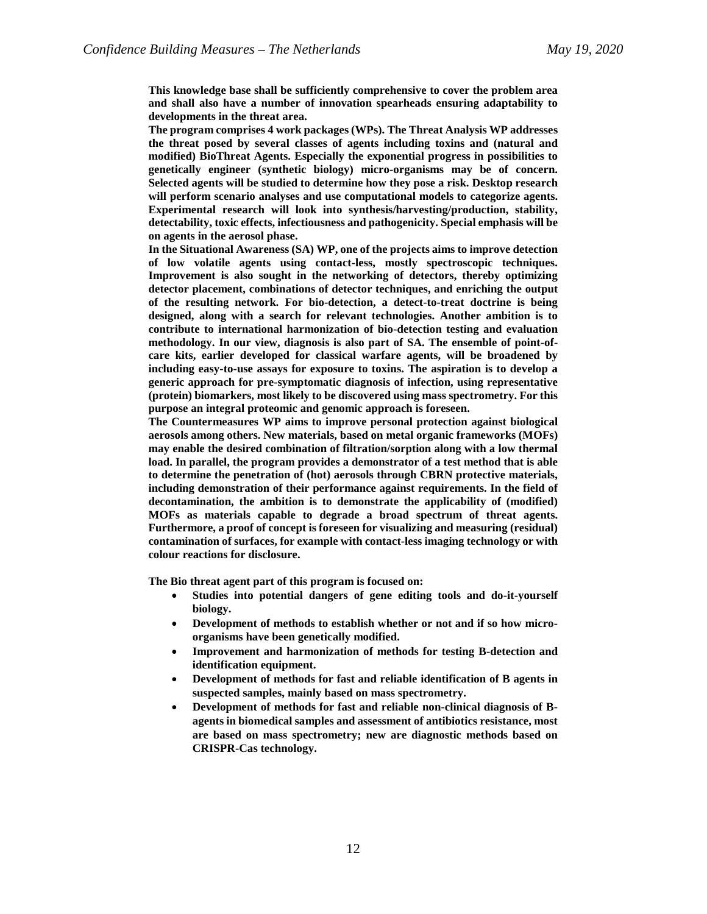**This knowledge base shall be sufficiently comprehensive to cover the problem area and shall also have a number of innovation spearheads ensuring adaptability to developments in the threat area.**

**The program comprises 4 work packages (WPs). The Threat Analysis WP addresses the threat posed by several classes of agents including toxins and (natural and modified) BioThreat Agents. Especially the exponential progress in possibilities to genetically engineer (synthetic biology) micro-organisms may be of concern. Selected agents will be studied to determine how they pose a risk. Desktop research will perform scenario analyses and use computational models to categorize agents. Experimental research will look into synthesis/harvesting/production, stability, detectability, toxic effects, infectiousness and pathogenicity. Special emphasis will be on agents in the aerosol phase.**

**In the Situational Awareness (SA) WP, one of the projects aims to improve detection of low volatile agents using contact-less, mostly spectroscopic techniques. Improvement is also sought in the networking of detectors, thereby optimizing detector placement, combinations of detector techniques, and enriching the output of the resulting network. For bio-detection, a detect-to-treat doctrine is being designed, along with a search for relevant technologies. Another ambition is to contribute to international harmonization of bio-detection testing and evaluation methodology. In our view, diagnosis is also part of SA. The ensemble of point-ofcare kits, earlier developed for classical warfare agents, will be broadened by including easy-to-use assays for exposure to toxins. The aspiration is to develop a generic approach for pre-symptomatic diagnosis of infection, using representative (protein) biomarkers, most likely to be discovered using mass spectrometry. For this purpose an integral proteomic and genomic approach is foreseen.**

**The Countermeasures WP aims to improve personal protection against biological aerosols among others. New materials, based on metal organic frameworks (MOFs) may enable the desired combination of filtration/sorption along with a low thermal load. In parallel, the program provides a demonstrator of a test method that is able to determine the penetration of (hot) aerosols through CBRN protective materials, including demonstration of their performance against requirements. In the field of decontamination, the ambition is to demonstrate the applicability of (modified) MOFs as materials capable to degrade a broad spectrum of threat agents. Furthermore, a proof of concept is foreseen for visualizing and measuring (residual) contamination of surfaces, for example with contact-less imaging technology or with colour reactions for disclosure.**

**The Bio threat agent part of this program is focused on:**

- **Studies into potential dangers of gene editing tools and do-it-yourself biology.**
- **Development of methods to establish whether or not and if so how microorganisms have been genetically modified.**
- **Improvement and harmonization of methods for testing B-detection and identification equipment.**
- **Development of methods for fast and reliable identification of B agents in suspected samples, mainly based on mass spectrometry.**
- **Development of methods for fast and reliable non-clinical diagnosis of Bagents in biomedical samples and assessment of antibiotics resistance, most are based on mass spectrometry; new are diagnostic methods based on CRISPR-Cas technology.**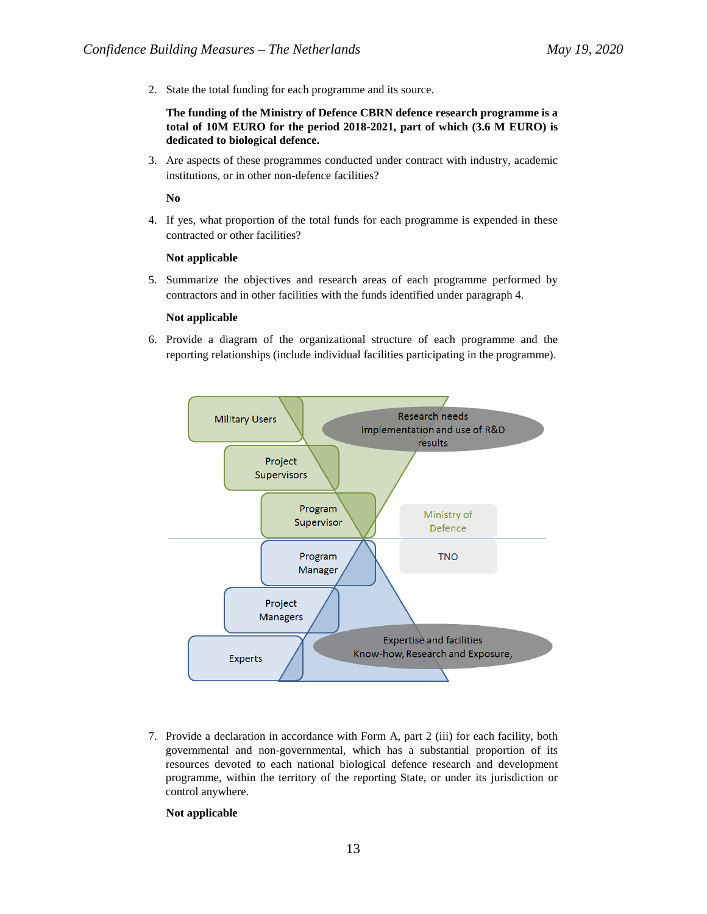2. State the total funding for each programme and its source.

### **The funding of the Ministry of Defence CBRN defence research programme is a total of 10M EURO for the period 2018-2021, part of which (3.6 M EURO) is dedicated to biological defence.**

3. Are aspects of these programmes conducted under contract with industry, academic institutions, or in other non-defence facilities?

**No**

4. If yes, what proportion of the total funds for each programme is expended in these contracted or other facilities?

### **Not applicable**

5. Summarize the objectives and research areas of each programme performed by contractors and in other facilities with the funds identified under paragraph 4.

### **Not applicable**

6. Provide a diagram of the organizational structure of each programme and the reporting relationships (include individual facilities participating in the programme).



7. Provide a declaration in accordance with Form A, part 2 (iii) for each facility, both governmental and non-governmental, which has a substantial proportion of its resources devoted to each national biological defence research and development programme, within the territory of the reporting State, or under its jurisdiction or control anywhere.

### **Not applicable**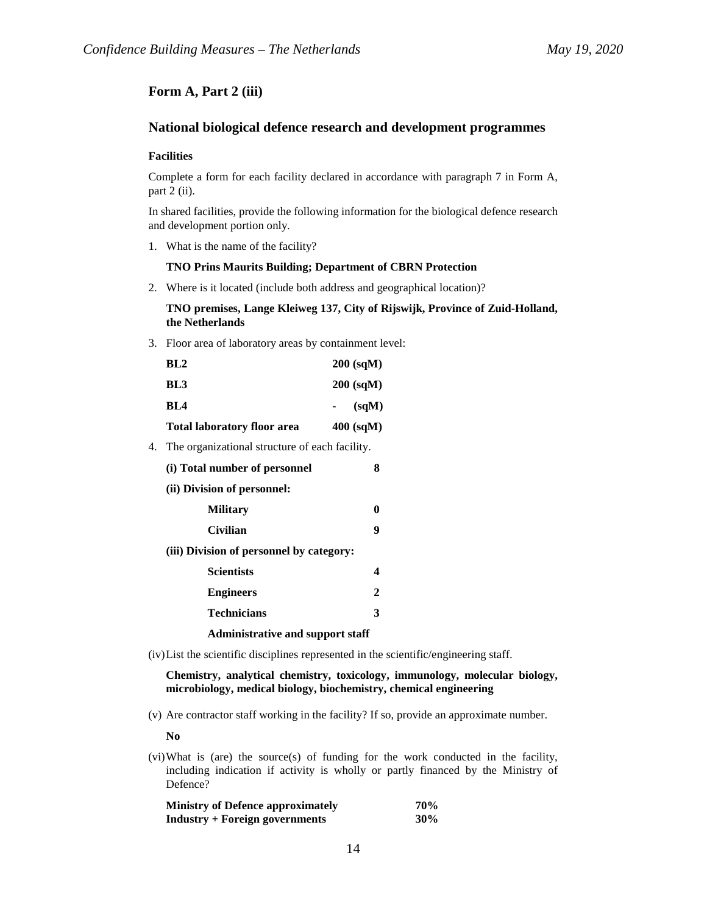# **Form A, Part 2 (iii)**

# **National biological defence research and development programmes**

### **Facilities**

Complete a form for each facility declared in accordance with paragraph 7 in Form A, part 2 (ii).

In shared facilities, provide the following information for the biological defence research and development portion only.

1. What is the name of the facility?

#### **TNO Prins Maurits Building; Department of CBRN Protection**

2. Where is it located (include both address and geographical location)?

### **TNO premises, Lange Kleiweg 137, City of Rijswijk, Province of Zuid-Holland, the Netherlands**

3. Floor area of laboratory areas by containment level:

| <b>Total laboratory floor area</b> | $400$ (sqM) |
|------------------------------------|-------------|
| BL4                                | (sqM)       |
| BL3                                | $200$ (sqM) |
| BL2                                | $200$ (sqM) |

4. The organizational structure of each facility.

| (i) Total number of personnel            | 8            |
|------------------------------------------|--------------|
| (ii) Division of personnel:              |              |
| <b>Military</b>                          | 0            |
| Civilian                                 | 9            |
| (iii) Division of personnel by category: |              |
| <b>Scientists</b>                        | 4            |
| <b>Engineers</b>                         | $\mathbf{2}$ |
| <b>Technicians</b>                       | 3            |
| <b>Administrative and support staff</b>  |              |

(iv)List the scientific disciplines represented in the scientific/engineering staff.

**Chemistry, analytical chemistry, toxicology, immunology, molecular biology, microbiology, medical biology, biochemistry, chemical engineering**

(v) Are contractor staff working in the facility? If so, provide an approximate number.

**No**

(vi)What is (are) the source(s) of funding for the work conducted in the facility, including indication if activity is wholly or partly financed by the Ministry of Defence?

| <b>Ministry of Defence approximately</b> | <b>70%</b> |
|------------------------------------------|------------|
| <b>Industry + Foreign governments</b>    | 30%        |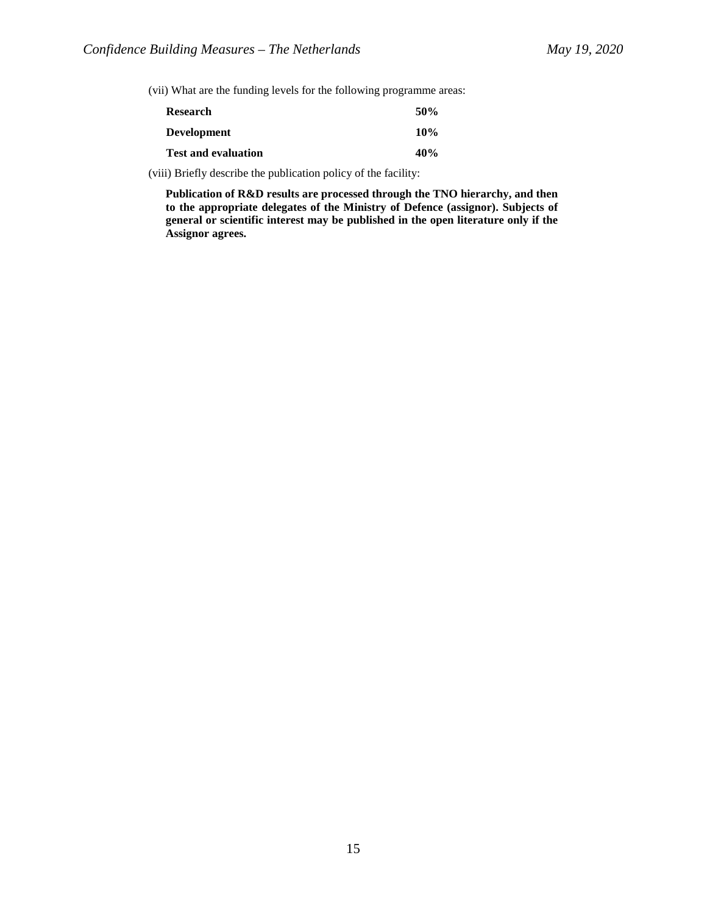(vii) What are the funding levels for the following programme areas:

| Research                   | 50% |
|----------------------------|-----|
| <b>Development</b>         | 10% |
| <b>Test and evaluation</b> | 40% |

(viii) Briefly describe the publication policy of the facility:

**Publication of R&D results are processed through the TNO hierarchy, and then to the appropriate delegates of the Ministry of Defence (assignor). Subjects of general or scientific interest may be published in the open literature only if the Assignor agrees.**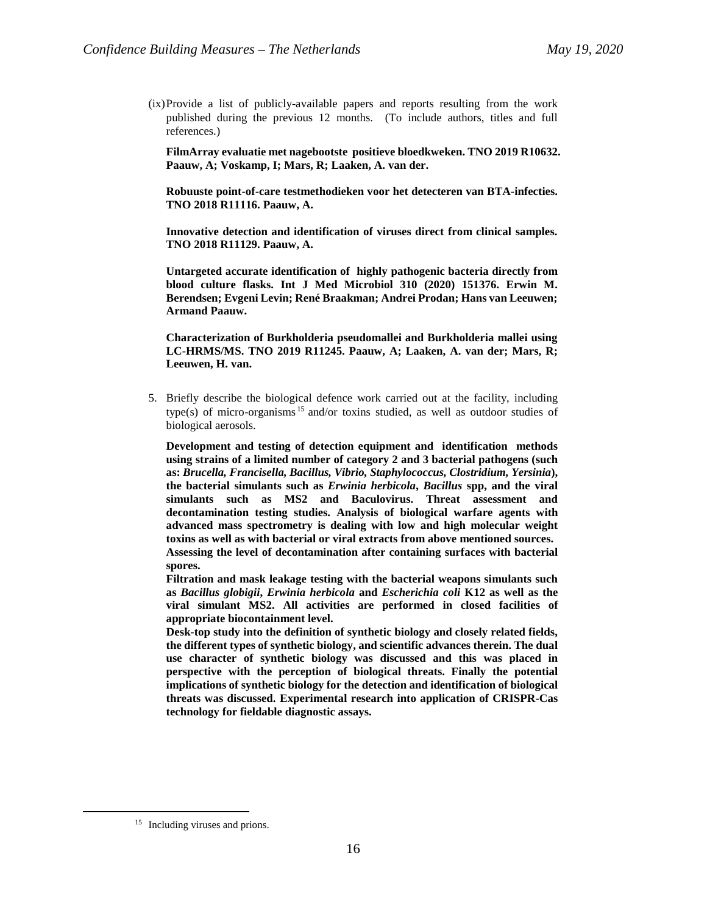(ix)Provide a list of publicly-available papers and reports resulting from the work published during the previous 12 months. (To include authors, titles and full references.)

**FilmArray evaluatie met nagebootste positieve bloedkweken. TNO 2019 R10632. Paauw, A; Voskamp, I; Mars, R; Laaken, A. van der.**

**Robuuste point-of-care testmethodieken voor het detecteren van BTA-infecties. TNO 2018 R11116. Paauw, A.**

**Innovative detection and identification of viruses direct from clinical samples. TNO 2018 R11129. Paauw, A.**

**Untargeted accurate identification of highly pathogenic bacteria directly from blood culture flasks. Int J Med Microbiol 310 (2020) 151376. Erwin M. Berendsen; Evgeni Levin; René Braakman; Andrei Prodan; Hans van Leeuwen; Armand Paauw.**

**Characterization of Burkholderia pseudomallei and Burkholderia mallei using LC-HRMS/MS. TNO 2019 R11245. Paauw, A; Laaken, A. van der; Mars, R; Leeuwen, H. van.**

5. Briefly describe the biological defence work carried out at the facility, including type(s) of micro-organisms [15](#page-15-0) and/or toxins studied, as well as outdoor studies of biological aerosols.

**Development and testing of detection equipment and identification methods using strains of a limited number of category 2 and 3 bacterial pathogens (such as:** *Brucella, Francisella, Bacillus, Vibrio, Staphylococcus, Clostridium, Yersinia***), the bacterial simulants such as** *Erwinia herbicola***,** *Bacillus* **spp, and the viral simulants such as MS2 and Baculovirus. Threat assessment and decontamination testing studies. Analysis of biological warfare agents with advanced mass spectrometry is dealing with low and high molecular weight toxins as well as with bacterial or viral extracts from above mentioned sources. Assessing the level of decontamination after containing surfaces with bacterial spores.**

**Filtration and mask leakage testing with the bacterial weapons simulants such as** *Bacillus globigii***,** *Erwinia herbicola* **and** *Escherichia coli* **K12 as well as the viral simulant MS2. All activities are performed in closed facilities of appropriate biocontainment level.**

**Desk-top study into the definition of synthetic biology and closely related fields, the different types of synthetic biology, and scientific advances therein. The dual use character of synthetic biology was discussed and this was placed in perspective with the perception of biological threats. Finally the potential implications of synthetic biology for the detection and identification of biological threats was discussed. Experimental research into application of CRISPR-Cas technology for fieldable diagnostic assays.**

<span id="page-15-0"></span><sup>&</sup>lt;sup>15</sup> Including viruses and prions.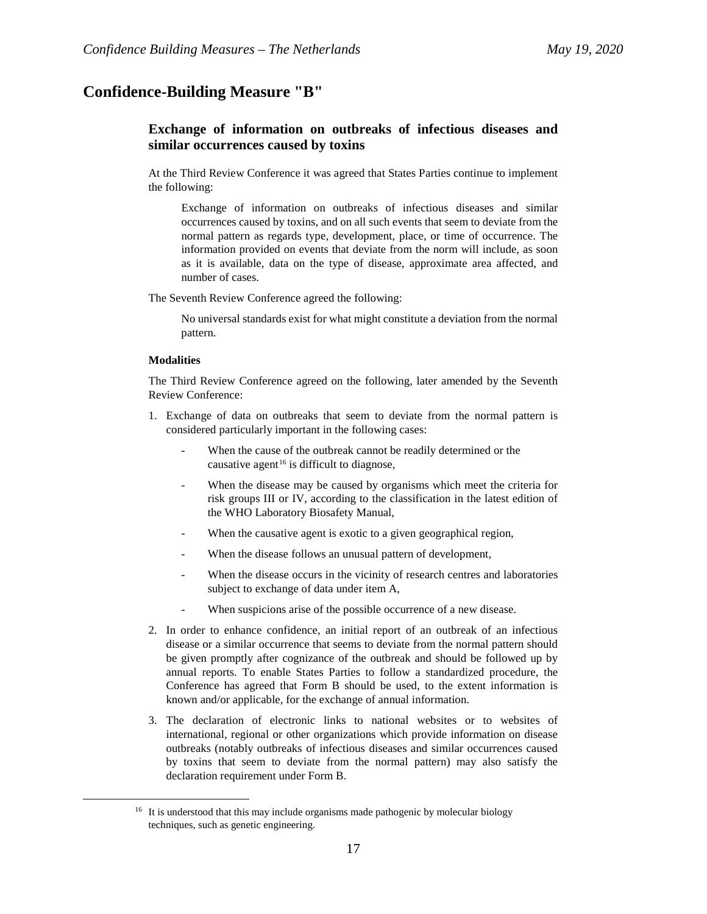# **Confidence-Building Measure "B"**

# **Exchange of information on outbreaks of infectious diseases and similar occurrences caused by toxins**

At the Third Review Conference it was agreed that States Parties continue to implement the following:

Exchange of information on outbreaks of infectious diseases and similar occurrences caused by toxins, and on all such events that seem to deviate from the normal pattern as regards type, development, place, or time of occurrence. The information provided on events that deviate from the norm will include, as soon as it is available, data on the type of disease, approximate area affected, and number of cases.

The Seventh Review Conference agreed the following:

No universal standards exist for what might constitute a deviation from the normal pattern.

### **Modalities**

The Third Review Conference agreed on the following, later amended by the Seventh Review Conference:

- 1. Exchange of data on outbreaks that seem to deviate from the normal pattern is considered particularly important in the following cases:
	- When the cause of the outbreak cannot be readily determined or the causative agent<sup>[16](#page-16-0)</sup> is difficult to diagnose,
	- When the disease may be caused by organisms which meet the criteria for risk groups III or IV, according to the classification in the latest edition of the WHO Laboratory Biosafety Manual,
	- When the causative agent is exotic to a given geographical region,
	- When the disease follows an unusual pattern of development,
	- When the disease occurs in the vicinity of research centres and laboratories subject to exchange of data under item A,
	- When suspicions arise of the possible occurrence of a new disease.
- 2. In order to enhance confidence, an initial report of an outbreak of an infectious disease or a similar occurrence that seems to deviate from the normal pattern should be given promptly after cognizance of the outbreak and should be followed up by annual reports. To enable States Parties to follow a standardized procedure, the Conference has agreed that Form B should be used, to the extent information is known and/or applicable, for the exchange of annual information.
- 3. The declaration of electronic links to national websites or to websites of international, regional or other organizations which provide information on disease outbreaks (notably outbreaks of infectious diseases and similar occurrences caused by toxins that seem to deviate from the normal pattern) may also satisfy the declaration requirement under Form B.

<span id="page-16-0"></span><sup>&</sup>lt;sup>16</sup> It is understood that this may include organisms made pathogenic by molecular biology techniques, such as genetic engineering.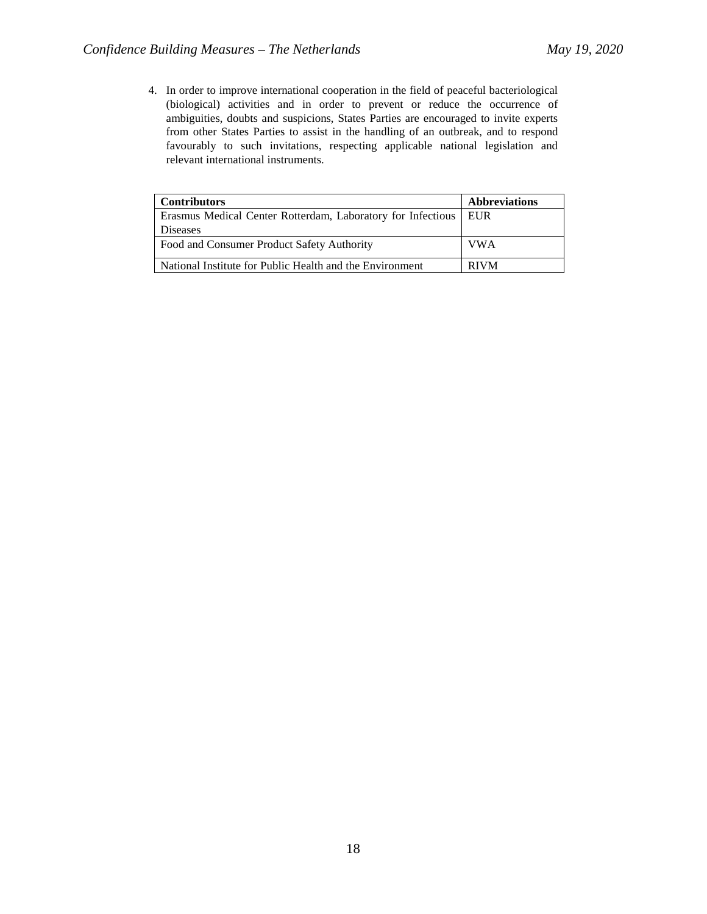4. In order to improve international cooperation in the field of peaceful bacteriological (biological) activities and in order to prevent or reduce the occurrence of ambiguities, doubts and suspicions, States Parties are encouraged to invite experts from other States Parties to assist in the handling of an outbreak, and to respond favourably to such invitations, respecting applicable national legislation and relevant international instruments.

| <b>Contributors</b>                                         | <b>Abbreviations</b> |
|-------------------------------------------------------------|----------------------|
| Erasmus Medical Center Rotterdam, Laboratory for Infectious | I EUR                |
| <b>Diseases</b>                                             |                      |
| Food and Consumer Product Safety Authority                  | <b>VWA</b>           |
| National Institute for Public Health and the Environment    | <b>RIVM</b>          |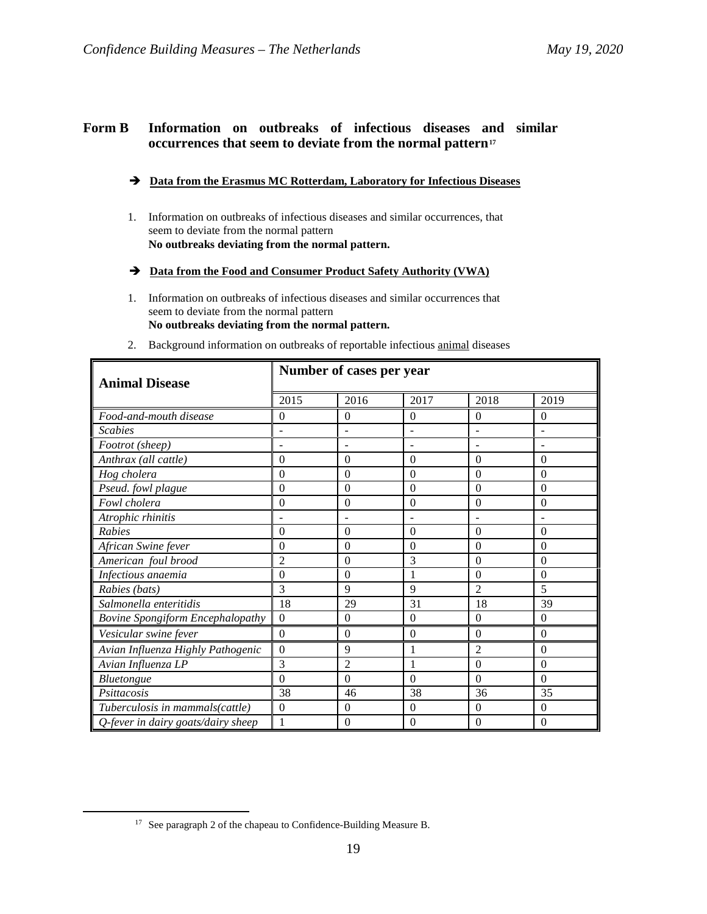# **Form B Information on outbreaks of infectious diseases and similar occurrences that seem to deviate from the normal pattern[17](#page-18-0)**

## **Data from the Erasmus MC Rotterdam, Laboratory for Infectious Diseases**

- 1. Information on outbreaks of infectious diseases and similar occurrences, that seem to deviate from the normal pattern **No outbreaks deviating from the normal pattern.**
- **Data from the Food and Consumer Product Safety Authority (VWA)**
- 1. Information on outbreaks of infectious diseases and similar occurrences that seem to deviate from the normal pattern **No outbreaks deviating from the normal pattern.**
- 2. Background information on outbreaks of reportable infectious animal diseases

| Number of cases per year<br><b>Animal Disease</b> |                |                |                  |                  |                          |
|---------------------------------------------------|----------------|----------------|------------------|------------------|--------------------------|
|                                                   | 2015           | 2016           | 2017             | 2018             | 2019                     |
| Food-and-mouth disease                            | $\theta$       | $\theta$       | $\theta$         | $\theta$         | $\Omega$                 |
| <b>Scabies</b>                                    |                |                |                  |                  | $\overline{a}$           |
| Footrot (sheep)                                   |                |                |                  |                  | $\overline{\phantom{a}}$ |
| Anthrax (all cattle)                              | $\theta$       | $\theta$       | $\theta$         | 0                | $\theta$                 |
| Hog cholera                                       | $\theta$       | $\theta$       | $\theta$         | 0                | $\theta$                 |
| Pseud. fowl plague                                | $\overline{0}$ | $\theta$       | $\overline{0}$   | $\theta$         | $\theta$                 |
| Fowl cholera                                      | $\theta$       | $\theta$       | $\overline{0}$   | $\theta$         | $\theta$                 |
| Atrophic rhinitis                                 |                |                |                  |                  |                          |
| Rabies                                            | $\theta$       | $\Omega$       | $\theta$         | 0                | $\theta$                 |
| African Swine fever                               | $\theta$       | $\theta$       | $\theta$         | 0                | $\theta$                 |
| American foul brood                               | $\overline{c}$ | $\theta$       | 3                | 0                | $\theta$                 |
| Infectious anaemia                                | $\theta$       | $\theta$       | 1                | 0                | $\theta$                 |
| Rabies (bats)                                     | 3              | 9              | 9                | $\mathfrak{D}$   | 5                        |
| Salmonella enteritidis                            | 18             | 29             | 31               | 18               | 39                       |
| Bovine Spongiform Encephalopathy                  | $\mathbf{0}$   | $\mathbf{0}$   | $\boldsymbol{0}$ | $\boldsymbol{0}$ | $\boldsymbol{0}$         |
| Vesicular swine fever                             | $\theta$       | $\Omega$       | $\theta$         | $\theta$         | $\theta$                 |
| Avian Influenza Highly Pathogenic                 | $\overline{0}$ | 9              | 1                | $\overline{2}$   | $\theta$                 |
| Avian Influenza LP                                | 3              | $\overline{2}$ | 1                | 0                | $\theta$                 |
| Bluetongue                                        | $\Omega$       | $\overline{0}$ | $\Omega$         | $\Omega$         | $\theta$                 |
| Psittacosis                                       | 38             | 46             | 38               | 36               | 35                       |
| Tuberculosis in mammals(cattle)                   | $\mathbf{0}$   | $\mathbf{0}$   | $\Omega$         | $\theta$         | $\Omega$                 |
| Q-fever in dairy goats/dairy sheep                | 1              | $\Omega$       | $\theta$         | 0                | $\Omega$                 |

<span id="page-18-0"></span><sup>&</sup>lt;sup>17</sup> See paragraph 2 of the chapeau to Confidence-Building Measure B.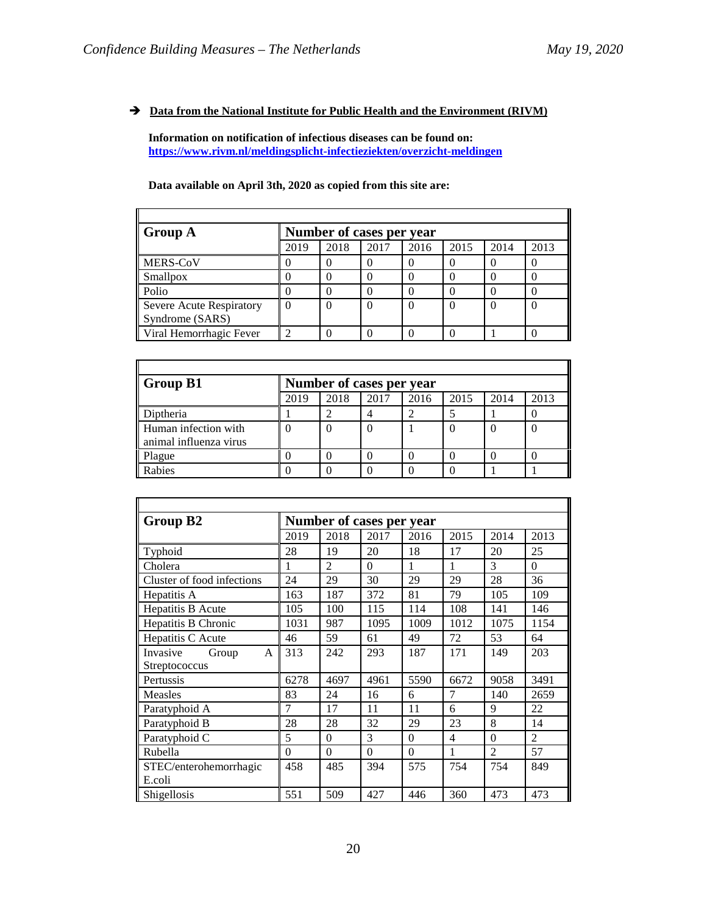## $\rightarrow$  <u>Data from the National Institute for Public Health and the Environment (RIVM)</u>

**Information on notification of infectious diseases can be found on: <https://www.rivm.nl/meldingsplicht-infectieziekten/overzicht-meldingen>**

**Data available on April 3th, 2020 as copied from this site are:**

| Group A                  |          | Number of cases per year |      |      |      |      |      |
|--------------------------|----------|--------------------------|------|------|------|------|------|
|                          | 2019     | 2018                     | 2017 | 2016 | 2015 | 2014 | 2013 |
| MERS-CoV                 |          |                          |      |      |      |      |      |
| Smallpox                 |          |                          |      |      |      |      |      |
| Polio                    |          |                          |      |      |      |      |      |
| Severe Acute Respiratory | $\theta$ |                          |      |      |      |      | O    |
| Syndrome (SARS)          |          |                          |      |      |      |      |      |
| Viral Hemorrhagic Fever  |          |                          |      |      |      |      |      |

| Group B1                                       |      | Number of cases per year |      |      |      |      |      |
|------------------------------------------------|------|--------------------------|------|------|------|------|------|
|                                                | 2019 | 2018                     | 2017 | 2016 | 2015 | 2014 | 2013 |
| Diptheria                                      |      |                          |      |      |      |      |      |
| Human infection with<br>animal influenza virus |      |                          |      |      |      |      |      |
| Plague                                         |      |                          |      |      |      |      |      |
| Rabies                                         |      |                          |      |      |      |      |      |

| Group B <sub>2</sub>       |          |                | Number of cases per year |          |                |                |                |
|----------------------------|----------|----------------|--------------------------|----------|----------------|----------------|----------------|
|                            | 2019     | 2018           | 2017                     | 2016     | 2015           | 2014           | 2013           |
| Typhoid                    | 28       | 19             | 20                       | 18       | 17             | 20             | 25             |
| Cholera                    | 1        | $\mathfrak{D}$ | $\Omega$                 | 1        | 1              | 3              | $\Omega$       |
| Cluster of food infections | 24       | 29             | 30                       | 29       | 29             | 28             | 36             |
| Hepatitis A                | 163      | 187            | 372                      | 81       | 79             | 105            | 109            |
| Hepatitis B Acute          | 105      | 100            | 115                      | 114      | 108            | 141            | 146            |
| Hepatitis B Chronic        | 1031     | 987            | 1095                     | 1009     | 1012           | 1075           | 1154           |
| Hepatitis C Acute          | 46       | 59             | 61                       | 49       | 72             | 53             | 64             |
| Invasive<br>Group<br>A     | 313      | 242            | 293                      | 187      | 171            | 149            | 203            |
| Streptococcus              |          |                |                          |          |                |                |                |
| Pertussis                  | 6278     | 4697           | 4961                     | 5590     | 6672           | 9058           | 3491           |
| <b>Measles</b>             | 83       | 24             | 16                       | 6        | $\overline{7}$ | 140            | 2659           |
| Paratyphoid A              | 7        | 17             | 11                       | 11       | 6              | 9              | 22             |
| Paratyphoid B              | 28       | 28             | 32                       | 29       | 23             | 8              | 14             |
| Paratyphoid C              | 5        | $\theta$       | 3                        | $\theta$ | $\overline{4}$ | $\theta$       | $\overline{2}$ |
| Rubella                    | $\theta$ | $\theta$       | $\theta$                 | $\theta$ | 1              | $\mathfrak{D}$ | 57             |
| STEC/enterohemorrhagic     | 458      | 485            | 394                      | 575      | 754            | 754            | 849            |
| E.coli                     |          |                |                          |          |                |                |                |
| Shigellosis                | 551      | 509            | 427                      | 446      | 360            | 473            | 473            |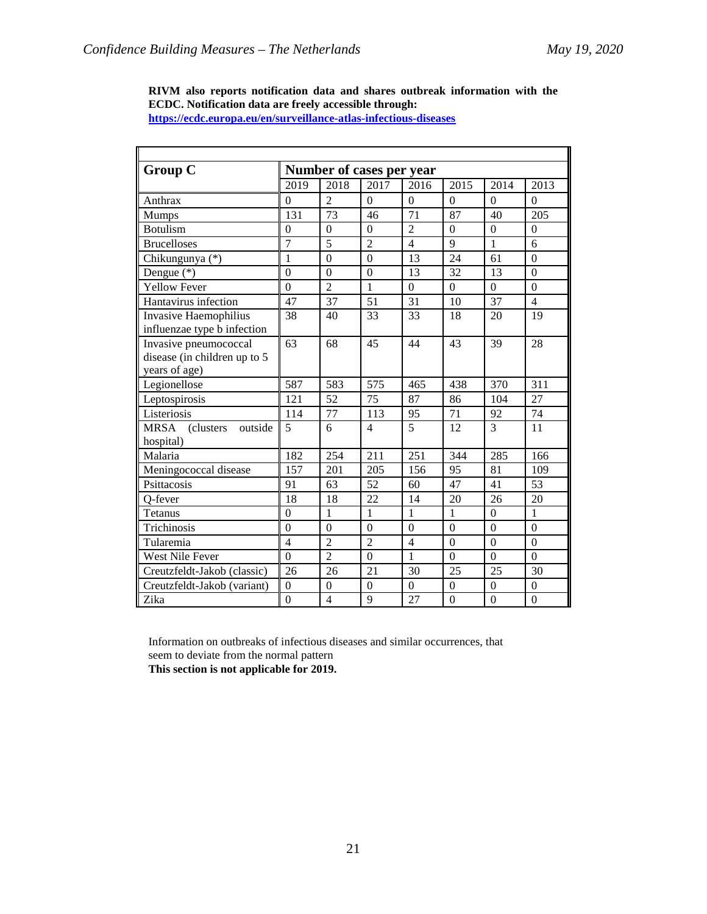**RIVM also reports notification data and shares outbreak information with the ECDC. Notification data are freely accessible through: <https://ecdc.europa.eu/en/surveillance-atlas-infectious-diseases>**

| <b>Group C</b>                                   |                |                 | Number of cases per year |                  |                |                |                |  |
|--------------------------------------------------|----------------|-----------------|--------------------------|------------------|----------------|----------------|----------------|--|
|                                                  | 2019           | 2018            | 2017                     | 2016             | 2015           | 2014           | 2013           |  |
| Anthrax                                          | $\theta$       | $\overline{2}$  | $\theta$                 | $\Omega$         | $\theta$       | $\Omega$       | $\Omega$       |  |
| Mumps                                            | 131            | $\overline{73}$ | 46                       | $\overline{71}$  | 87             | 40             | 205            |  |
| <b>Botulism</b>                                  | $\Omega$       | $\theta$        | $\Omega$                 | $\overline{2}$   | $\theta$       | $\overline{0}$ | $\Omega$       |  |
| <b>Brucelloses</b>                               | $\overline{7}$ | 5               | $\overline{2}$           | $\overline{4}$   | 9              | $\mathbf{1}$   | 6              |  |
| Chikungunya (*)                                  | 1              | $\overline{0}$  | $\overline{0}$           | 13               | 24             | 61             | $\overline{0}$ |  |
| Dengue $(*)$                                     | $\theta$       | $\overline{0}$  | $\boldsymbol{0}$         | 13               | 32             | 13             | $\theta$       |  |
| <b>Yellow Fever</b>                              | $\theta$       | $\overline{2}$  | 1                        | $\theta$         | $\Omega$       | $\Omega$       | $\theta$       |  |
| Hantavirus infection                             | 47             | 37              | 51                       | 31               | 10             | 37             | $\overline{4}$ |  |
| <b>Invasive Haemophilius</b>                     | 38             | 40              | 33                       | 33               | 18             | 20             | 19             |  |
| influenzae type b infection                      |                |                 |                          |                  |                |                |                |  |
| Invasive pneumococcal                            | 63             | 68              | 45                       | 44               | 43             | 39             | 28             |  |
| disease (in children up to 5                     |                |                 |                          |                  |                |                |                |  |
| years of age)                                    |                |                 |                          |                  |                |                |                |  |
| Legionellose                                     | 587            | 583             | 575                      | 465              | 438            | 370            | 311            |  |
| Leptospirosis                                    | 121            | 52              | $\overline{75}$          | 87               | 86             | 104            | 27             |  |
| Listeriosis                                      | 114            | $\overline{77}$ | 113                      | 95               | 71             | 92             | 74             |  |
| <b>MRSA</b><br>(clusters<br>outside<br>hospital) | 5              | 6               | $\overline{4}$           | 5                | 12             | 3              | 11             |  |
| Malaria                                          | 182            | 254             | 211                      | $\overline{251}$ | 344            | 285            | 166            |  |
| Meningococcal disease                            | 157            | 201             | 205                      | 156              | 95             | 81             | 109            |  |
| Psittacosis                                      | 91             | 63              | 52                       | 60               | 47             | 41             | 53             |  |
| Q-fever                                          | 18             | 18              | 22                       | 14               | 20             | 26             | 20             |  |
| Tetanus                                          | $\theta$       | 1               | 1                        | 1                | 1              | $\Omega$       | 1              |  |
| Trichinosis                                      | $\overline{0}$ | $\overline{0}$  | $\overline{0}$           | $\overline{0}$   | $\overline{0}$ | $\overline{0}$ | $\overline{0}$ |  |
| Tularemia                                        | $\overline{4}$ | $\overline{2}$  | $\overline{2}$           | $\overline{4}$   | $\theta$       | $\theta$       | $\Omega$       |  |
| West Nile Fever                                  | $\theta$       | $\overline{2}$  | $\overline{0}$           | 1                | $\theta$       | $\theta$       | $\theta$       |  |
| Creutzfeldt-Jakob (classic)                      | 26             | 26              | 21                       | 30               | 25             | 25             | 30             |  |
| Creutzfeldt-Jakob (variant)                      | $\overline{0}$ | $\theta$        | $\overline{0}$           | $\theta$         | $\theta$       | $\theta$       | $\theta$       |  |
| Zika                                             | $\theta$       | $\overline{4}$  | 9                        | 27               | $\theta$       | $\theta$       | $\theta$       |  |

Information on outbreaks of infectious diseases and similar occurrences, that seem to deviate from the normal pattern

**This section is not applicable for 2019.**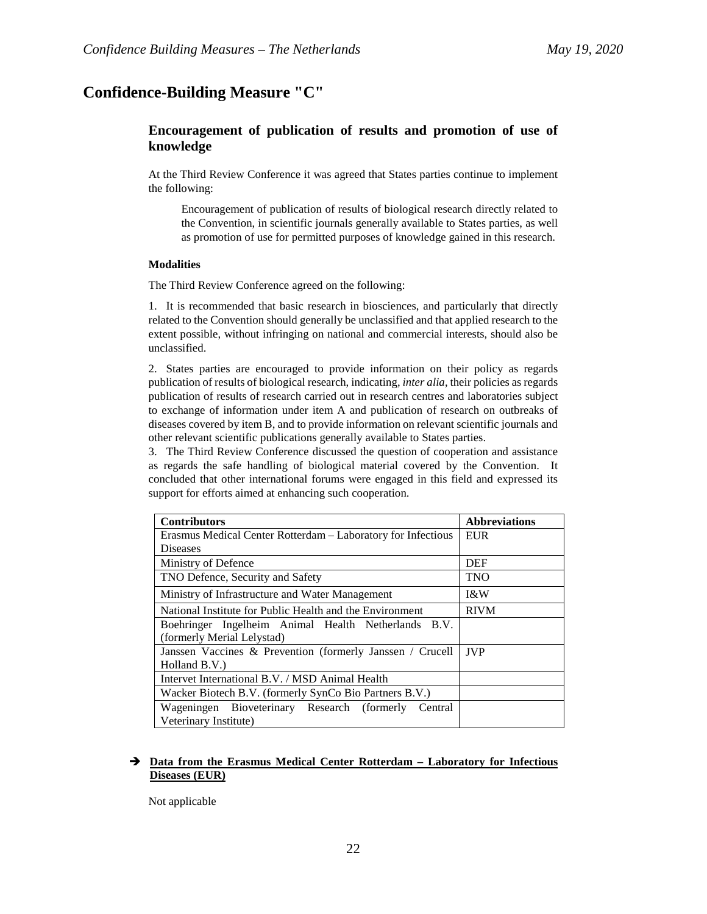# **Confidence-Building Measure "C"**

# **Encouragement of publication of results and promotion of use of knowledge**

At the Third Review Conference it was agreed that States parties continue to implement the following:

Encouragement of publication of results of biological research directly related to the Convention, in scientific journals generally available to States parties, as well as promotion of use for permitted purposes of knowledge gained in this research.

### **Modalities**

The Third Review Conference agreed on the following:

1. It is recommended that basic research in biosciences, and particularly that directly related to the Convention should generally be unclassified and that applied research to the extent possible, without infringing on national and commercial interests, should also be unclassified.

2. States parties are encouraged to provide information on their policy as regards publication of results of biological research, indicating, *inter alia*, their policies as regards publication of results of research carried out in research centres and laboratories subject to exchange of information under item A and publication of research on outbreaks of diseases covered by item B, and to provide information on relevant scientific journals and other relevant scientific publications generally available to States parties.

3. The Third Review Conference discussed the question of cooperation and assistance as regards the safe handling of biological material covered by the Convention. It concluded that other international forums were engaged in this field and expressed its support for efforts aimed at enhancing such cooperation.

| <b>Contributors</b>                                          | <b>Abbreviations</b> |
|--------------------------------------------------------------|----------------------|
| Erasmus Medical Center Rotterdam – Laboratory for Infectious | <b>EUR</b>           |
| <b>Diseases</b>                                              |                      |
| Ministry of Defence                                          | <b>DEF</b>           |
| TNO Defence, Security and Safety                             | <b>TNO</b>           |
| Ministry of Infrastructure and Water Management              | <b>I&amp;W</b>       |
| National Institute for Public Health and the Environment     | <b>RIVM</b>          |
| Boehringer Ingelheim Animal Health Netherlands B.V.          |                      |
| (formerly Merial Lelystad)                                   |                      |
| Janssen Vaccines & Prevention (formerly Janssen / Crucell    | <b>JVP</b>           |
| Holland B.V.                                                 |                      |
| Intervet International B.V. / MSD Animal Health              |                      |
| Wacker Biotech B.V. (formerly SynCo Bio Partners B.V.)       |                      |
| Wageningen Bioveterinary Research (formerly<br>Central       |                      |
| Veterinary Institute)                                        |                      |

### **Data from the Erasmus Medical Center Rotterdam – Laboratory for Infectious Diseases (EUR)**

Not applicable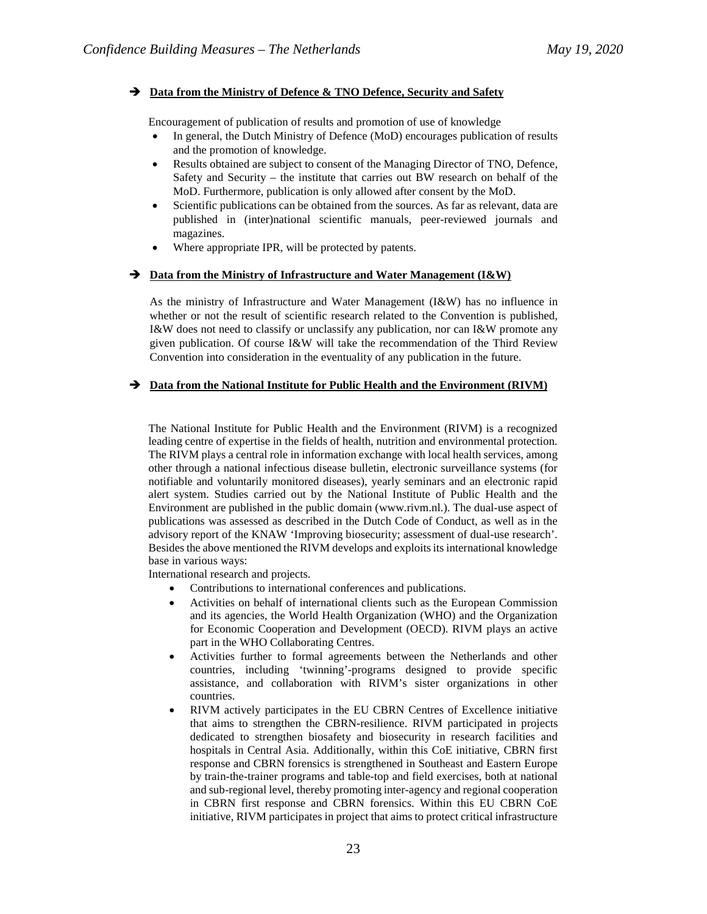### $\rightarrow$  Data from the Ministry of Defence & TNO Defence, Security and Safety

Encouragement of publication of results and promotion of use of knowledge

- In general, the Dutch Ministry of Defence (MoD) encourages publication of results and the promotion of knowledge.
- Results obtained are subject to consent of the Managing Director of TNO, Defence, Safety and Security – the institute that carries out BW research on behalf of the MoD. Furthermore, publication is only allowed after consent by the MoD.
- Scientific publications can be obtained from the sources. As far as relevant, data are published in (inter)national scientific manuals, peer-reviewed journals and magazines.
- Where appropriate IPR, will be protected by patents.

### → Data from the Ministry of Infrastructure and Water Management (I&W)

As the ministry of Infrastructure and Water Management (I&W) has no influence in whether or not the result of scientific research related to the Convention is published, I&W does not need to classify or unclassify any publication, nor can I&W promote any given publication. Of course I&W will take the recommendation of the Third Review Convention into consideration in the eventuality of any publication in the future.

### $\rightarrow$  Data from the National Institute for Public Health and the Environment (RIVM)

The National Institute for Public Health and the Environment (RIVM) is a recognized leading centre of expertise in the fields of health, nutrition and environmental protection. The RIVM plays a central role in information exchange with local health services, among other through a national infectious disease bulletin, electronic surveillance systems (for notifiable and voluntarily monitored diseases), yearly seminars and an electronic rapid alert system. Studies carried out by the National Institute of Public Health and the Environment are published in the public domain (www.rivm.nl.). The dual-use aspect of publications was assessed as described in the Dutch Code of Conduct, as well as in the advisory report of the KNAW 'Improving biosecurity; assessment of dual-use research'. Besides the above mentioned the RIVM develops and exploits its international knowledge base in various ways:

International research and projects.

- Contributions to international conferences and publications.
- Activities on behalf of international clients such as the European Commission and its agencies, the World Health Organization (WHO) and the Organization for Economic Cooperation and Development (OECD). RIVM plays an active part in the WHO Collaborating Centres.
- Activities further to formal agreements between the Netherlands and other countries, including 'twinning'-programs designed to provide specific assistance, and collaboration with RIVM's sister organizations in other countries.
- RIVM actively participates in the EU CBRN Centres of Excellence initiative that aims to strengthen the CBRN-resilience. RIVM participated in projects dedicated to strengthen biosafety and biosecurity in research facilities and hospitals in Central Asia. Additionally, within this CoE initiative, CBRN first response and CBRN forensics is strengthened in Southeast and Eastern Europe by train-the-trainer programs and table-top and field exercises, both at national and sub-regional level, thereby promoting inter-agency and regional cooperation in CBRN first response and CBRN forensics. Within this EU CBRN CoE initiative, RIVM participates in project that aims to protect critical infrastructure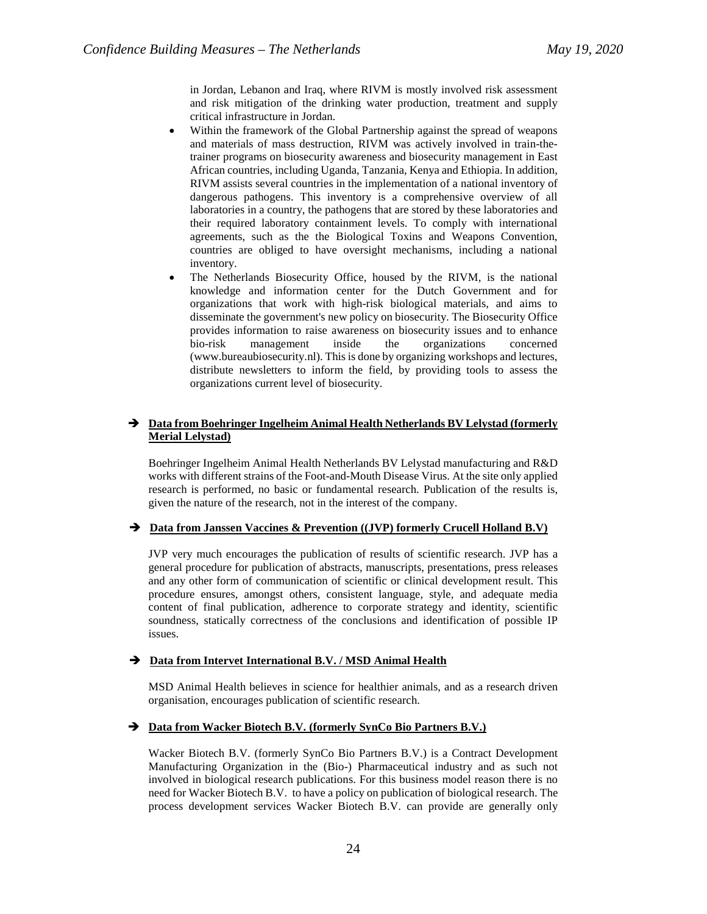in Jordan, Lebanon and Iraq, where RIVM is mostly involved risk assessment and risk mitigation of the drinking water production, treatment and supply critical infrastructure in Jordan.

- Within the framework of the Global Partnership against the spread of weapons and materials of mass destruction, RIVM was actively involved in train-thetrainer programs on biosecurity awareness and biosecurity management in East African countries, including Uganda, Tanzania, Kenya and Ethiopia. In addition, RIVM assists several countries in the implementation of a national inventory of dangerous pathogens. This inventory is a comprehensive overview of all laboratories in a country, the pathogens that are stored by these laboratories and their required laboratory containment levels. To comply with international agreements, such as the the Biological Toxins and Weapons Convention, countries are obliged to have oversight mechanisms, including a national inventory.
- The Netherlands Biosecurity Office, housed by the RIVM, is the national knowledge and information center for the Dutch Government and for organizations that work with high-risk biological materials, and aims to disseminate the government's new policy on biosecurity. The Biosecurity Office provides information to raise awareness on biosecurity issues and to enhance bio-risk management inside the organizations concerned (www.bureaubiosecurity.nl). This is done by organizing workshops and lectures, distribute newsletters to inform the field, by providing tools to assess the organizations current level of biosecurity.

### **Data from Boehringer Ingelheim Animal Health Netherlands BV Lelystad (formerly Merial Lelystad)**

Boehringer Ingelheim Animal Health Netherlands BV Lelystad manufacturing and R&D works with different strains of the Foot-and-Mouth Disease Virus. At the site only applied research is performed, no basic or fundamental research. Publication of the results is, given the nature of the research, not in the interest of the company.

### → Data from Janssen Vaccines & Prevention ((JVP) formerly Crucell Holland B.V)

JVP very much encourages the publication of results of scientific research. JVP has a general procedure for publication of abstracts, manuscripts, presentations, press releases and any other form of communication of scientific or clinical development result. This procedure ensures, amongst others, consistent language, style, and adequate media content of final publication, adherence to corporate strategy and identity, scientific soundness, statically correctness of the conclusions and identification of possible IP issues.

#### **Data from Intervet International B.V. / MSD Animal Health**

MSD Animal Health believes in science for healthier animals, and as a research driven organisation, encourages publication of scientific research.

#### **Data from Wacker Biotech B.V. (formerly SynCo Bio Partners B.V.)**

Wacker Biotech B.V. (formerly SynCo Bio Partners B.V.) is a Contract Development Manufacturing Organization in the (Bio-) Pharmaceutical industry and as such not involved in biological research publications. For this business model reason there is no need for Wacker Biotech B.V. to have a policy on publication of biological research. The process development services Wacker Biotech B.V. can provide are generally only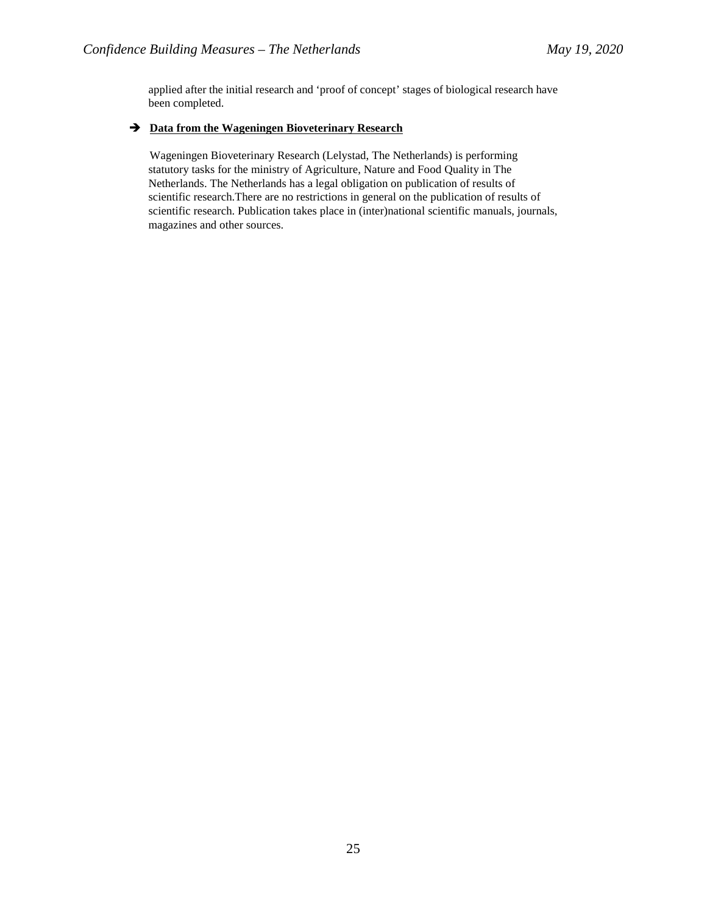applied after the initial research and 'proof of concept' stages of biological research have been completed.

### **Data from the Wageningen Bioveterinary Research**

Wageningen Bioveterinary Research (Lelystad, The Netherlands) is performing statutory tasks for the ministry of Agriculture, Nature and Food Quality in The Netherlands. The Netherlands has a legal obligation on publication of results of scientific research.There are no restrictions in general on the publication of results of scientific research. Publication takes place in (inter)national scientific manuals, journals, magazines and other sources.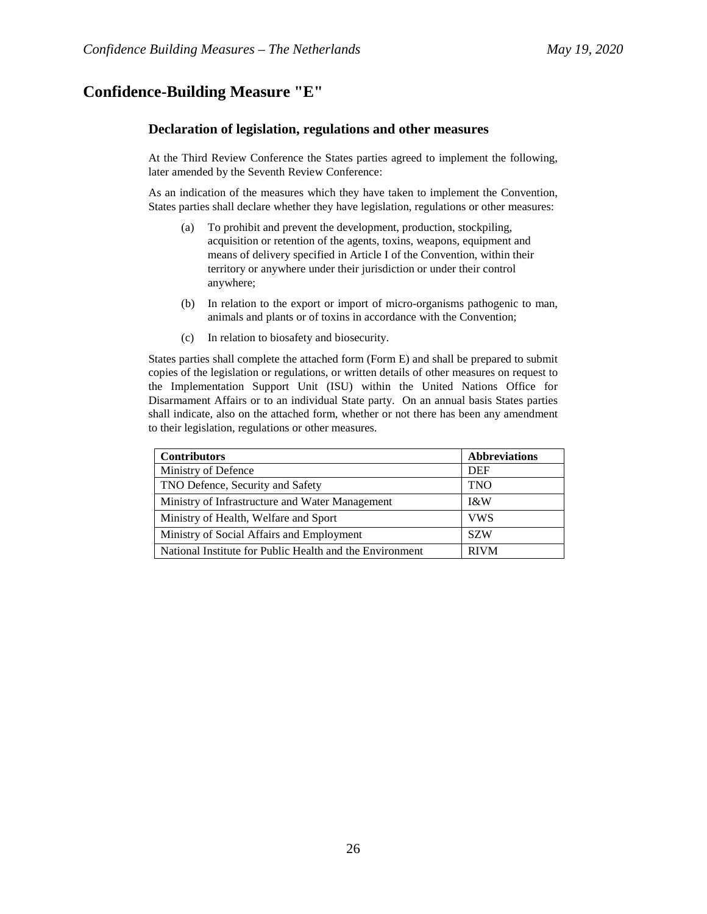# **Confidence-Building Measure "E"**

### **Declaration of legislation, regulations and other measures**

At the Third Review Conference the States parties agreed to implement the following, later amended by the Seventh Review Conference:

As an indication of the measures which they have taken to implement the Convention, States parties shall declare whether they have legislation, regulations or other measures:

- (a) To prohibit and prevent the development, production, stockpiling, acquisition or retention of the agents, toxins, weapons, equipment and means of delivery specified in Article I of the Convention, within their territory or anywhere under their jurisdiction or under their control anywhere;
- (b) In relation to the export or import of micro-organisms pathogenic to man, animals and plants or of toxins in accordance with the Convention;
- (c) In relation to biosafety and biosecurity.

States parties shall complete the attached form (Form E) and shall be prepared to submit copies of the legislation or regulations, or written details of other measures on request to the Implementation Support Unit (ISU) within the United Nations Office for Disarmament Affairs or to an individual State party. On an annual basis States parties shall indicate, also on the attached form, whether or not there has been any amendment to their legislation, regulations or other measures.

| <b>Contributors</b>                                      | <b>Abbreviations</b> |
|----------------------------------------------------------|----------------------|
| Ministry of Defence                                      | <b>DEF</b>           |
| TNO Defence, Security and Safety                         | <b>TNO</b>           |
| Ministry of Infrastructure and Water Management          | I&W                  |
| Ministry of Health, Welfare and Sport                    | <b>VWS</b>           |
| Ministry of Social Affairs and Employment                | <b>SZW</b>           |
| National Institute for Public Health and the Environment | <b>RIVM</b>          |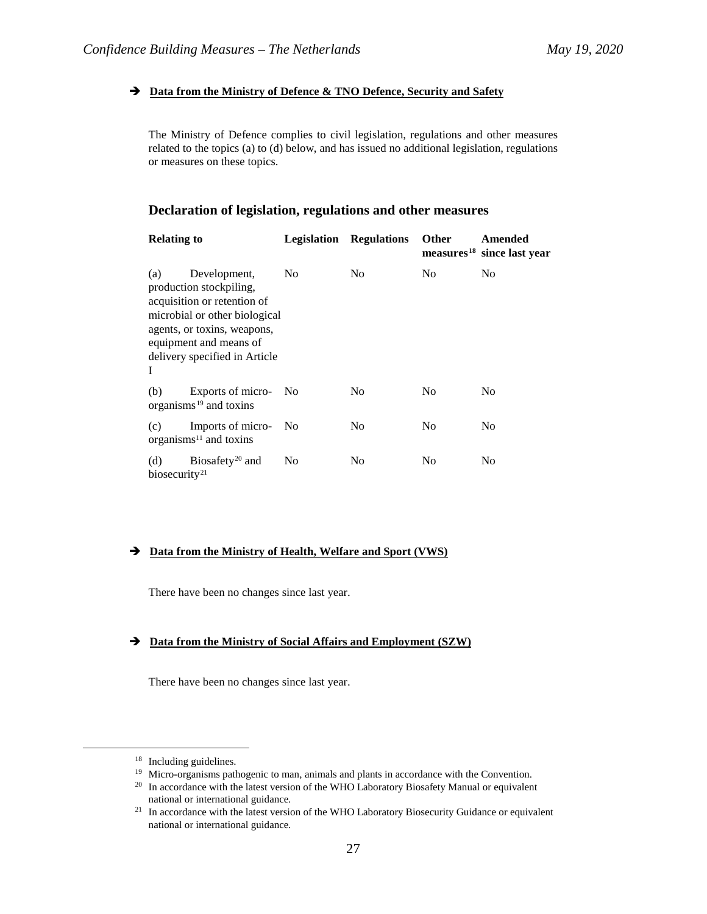### **Data from the Ministry of Defence & TNO Defence, Security and Safety**

The Ministry of Defence complies to civil legislation, regulations and other measures related to the topics (a) to (d) below, and has issued no additional legislation, regulations or measures on these topics.

## **Declaration of legislation, regulations and other measures**

| <b>Relating to</b>               |                                                                                                                                                                                                   | Legislation    | <b>Regulations</b> | <b>Other</b> | Amended<br>measures <sup>18</sup> since last year |
|----------------------------------|---------------------------------------------------------------------------------------------------------------------------------------------------------------------------------------------------|----------------|--------------------|--------------|---------------------------------------------------|
| (a)<br>I                         | Development,<br>production stockpiling,<br>acquisition or retention of<br>microbial or other biological<br>agents, or toxins, weapons,<br>equipment and means of<br>delivery specified in Article | No.            | N <sub>0</sub>     | No           | N <sub>0</sub>                                    |
| (b)                              | Exports of micro-<br>organisms $19$ and toxins                                                                                                                                                    | - No           | N <sub>0</sub>     | No           | N <sub>0</sub>                                    |
| (c)                              | Imports of micro-<br>organisms $11$ and toxins                                                                                                                                                    | N <sub>0</sub> | N <sub>0</sub>     | No           | N <sub>0</sub>                                    |
| (d)<br>biosecurity <sup>21</sup> | Biosafety <sup>20</sup> and                                                                                                                                                                       | N <sub>0</sub> | N <sub>0</sub>     | No           | No                                                |

## **Data from the Ministry of Health, Welfare and Sport (VWS)**

There have been no changes since last year.

## **Data from the Ministry of Social Affairs and Employment (SZW)**

There have been no changes since last year.

<span id="page-26-1"></span><span id="page-26-0"></span><sup>&</sup>lt;sup>18</sup> Including guidelines.<br><sup>19</sup> Micro-organisms pathogenic to man, animals and plants in accordance with the Convention.

<span id="page-26-2"></span><sup>&</sup>lt;sup>20</sup> In accordance with the latest version of the WHO Laboratory Biosafety Manual or equivalent

<span id="page-26-3"></span>national or international guidance.<br><sup>21</sup> In accordance with the latest version of the WHO Laboratory Biosecurity Guidance or equivalent national or international guidance.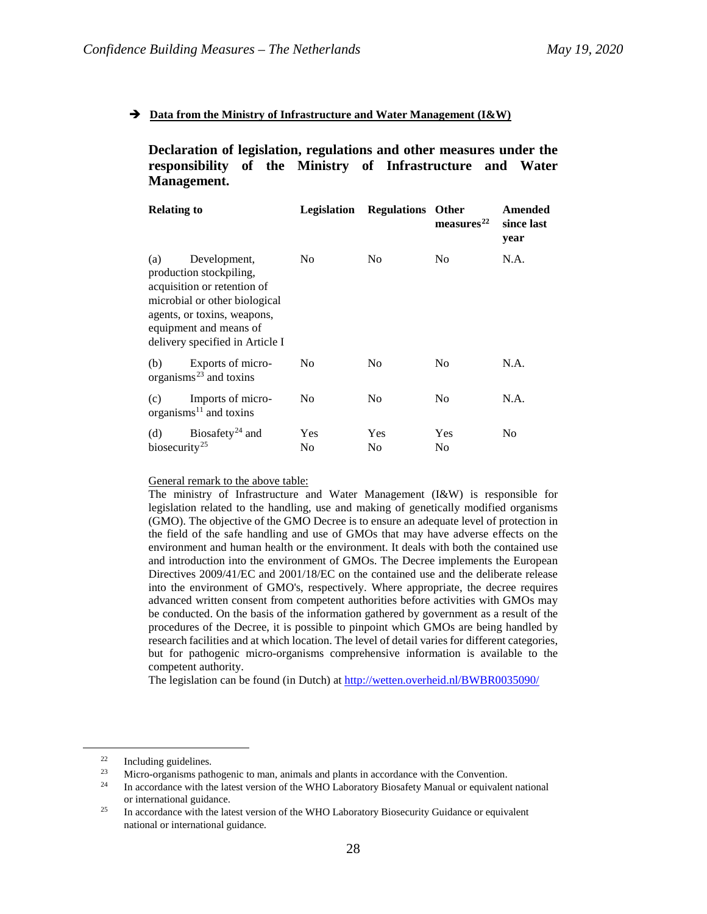## $\rightarrow$  Data from the Ministry of Infrastructure and Water Management (I&W)

**Declaration of legislation, regulations and other measures under the responsibility of the Ministry of Infrastructure and Water Management.**

| <b>Relating to</b>               |                                                                                                                                                                                                     | Legislation    | <b>Regulations</b> Other | measures <sup>22</sup> | Amended<br>since last<br>year |
|----------------------------------|-----------------------------------------------------------------------------------------------------------------------------------------------------------------------------------------------------|----------------|--------------------------|------------------------|-------------------------------|
| (a)                              | Development,<br>production stockpiling,<br>acquisition or retention of<br>microbial or other biological<br>agents, or toxins, weapons,<br>equipment and means of<br>delivery specified in Article I | N <sub>0</sub> | N <sub>0</sub>           | No                     | N.A.                          |
| (b)                              | Exports of micro-<br>organisms $^{23}$ and toxins                                                                                                                                                   | No.            | N <sub>0</sub>           | No                     | N.A.                          |
| (c)                              | Imports of micro-<br>organisms $^{11}$ and toxins                                                                                                                                                   | No             | N <sub>0</sub>           | No                     | N.A.                          |
| (d)<br>biosecurity <sup>25</sup> | Biosafety <sup>24</sup> and                                                                                                                                                                         | Yes<br>No      | Yes<br>No                | Yes<br>No              | N <sub>0</sub>                |

### General remark to the above table:

The ministry of Infrastructure and Water Management (I&W) is responsible for legislation related to the handling, use and making of genetically modified organisms (GMO). The objective of the GMO Decree is to ensure an adequate level of protection in the field of the safe handling and use of GMOs that may have adverse effects on the environment and human health or the environment. It deals with both the contained use and introduction into the environment of GMOs. The Decree implements the European Directives 2009/41/EC and 2001/18/EC on the contained use and the deliberate release into the environment of GMO's, respectively. Where appropriate, the decree requires advanced written consent from competent authorities before activities with GMOs may be conducted. On the basis of the information gathered by government as a result of the procedures of the Decree, it is possible to pinpoint which GMOs are being handled by research facilities and at which location. The level of detail varies for different categories, but for pathogenic micro-organisms comprehensive information is available to the competent authority.

The legislation can be found (in Dutch) a[t http://wetten.overheid.nl/BWBR0035090/](http://wetten.overheid.nl/BWBR0035090/)

<span id="page-27-1"></span><span id="page-27-0"></span><sup>22</sup> Including guidelines.<br>
23 Incro-organisms pathogenic to man, animals and plants in accordance with the Convention.

<span id="page-27-2"></span><sup>&</sup>lt;sup>24</sup> In accordance with the latest version of the WHO Laboratory Biosafety Manual or equivalent national

<span id="page-27-3"></span>or international guidance.<br><sup>25</sup> In accordance with the latest version of the WHO Laboratory Biosecurity Guidance or equivalent national or international guidance.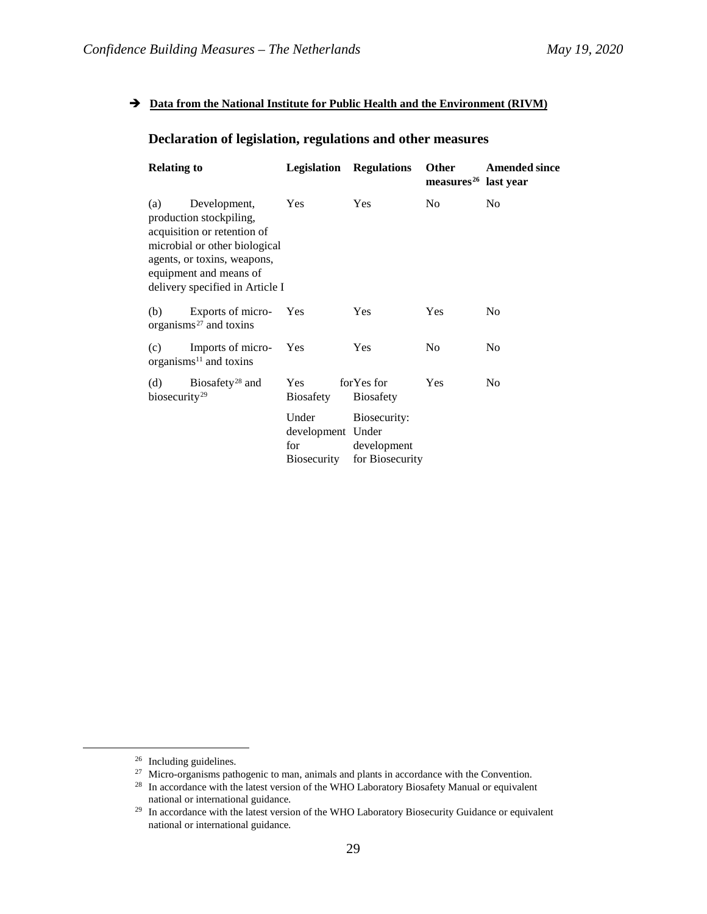## $\rightarrow$  Data from the National Institute for Public Health and the Environment (RIVM)

# **Declaration of legislation, regulations and other measures**

| <b>Relating to</b>               |                                                                                                                                                                                                     | Legislation                                             | <b>Regulations</b>                             | <b>Other</b><br>measures <sup>26</sup> last year | <b>Amended since</b> |
|----------------------------------|-----------------------------------------------------------------------------------------------------------------------------------------------------------------------------------------------------|---------------------------------------------------------|------------------------------------------------|--------------------------------------------------|----------------------|
| (a)                              | Development,<br>production stockpiling,<br>acquisition or retention of<br>microbial or other biological<br>agents, or toxins, weapons,<br>equipment and means of<br>delivery specified in Article I | Yes                                                     | Yes                                            | N <sub>0</sub>                                   | N <sub>0</sub>       |
| (b)                              | Exports of micro-<br>organisms $27$ and toxins                                                                                                                                                      | Yes                                                     | <b>Yes</b>                                     | Yes                                              | N <sub>0</sub>       |
| (c)                              | Imports of micro-<br>organisms $^{11}$ and toxins                                                                                                                                                   | Yes                                                     | Yes                                            | N <sub>0</sub>                                   | N <sub>0</sub>       |
| (d)<br>biosecurity <sup>29</sup> | Biosafety <sup>28</sup> and                                                                                                                                                                         | <b>Yes</b><br><b>Biosafety</b>                          | for Yes for<br><b>Biosafety</b>                | Yes                                              | N <sub>0</sub>       |
|                                  |                                                                                                                                                                                                     | Under<br>development Under<br>for<br><b>Biosecurity</b> | Biosecurity:<br>development<br>for Biosecurity |                                                  |                      |

<span id="page-28-1"></span><span id="page-28-0"></span><sup>&</sup>lt;sup>26</sup> Including guidelines.<br><sup>27</sup> Micro-organisms pathogenic to man, animals and plants in accordance with the Convention.

<span id="page-28-2"></span> $28$  In accordance with the latest version of the WHO Laboratory Biosafety Manual or equivalent national or international guidance.

<span id="page-28-3"></span><sup>&</sup>lt;sup>29</sup> In accordance with the latest version of the WHO Laboratory Biosecurity Guidance or equivalent national or international guidance.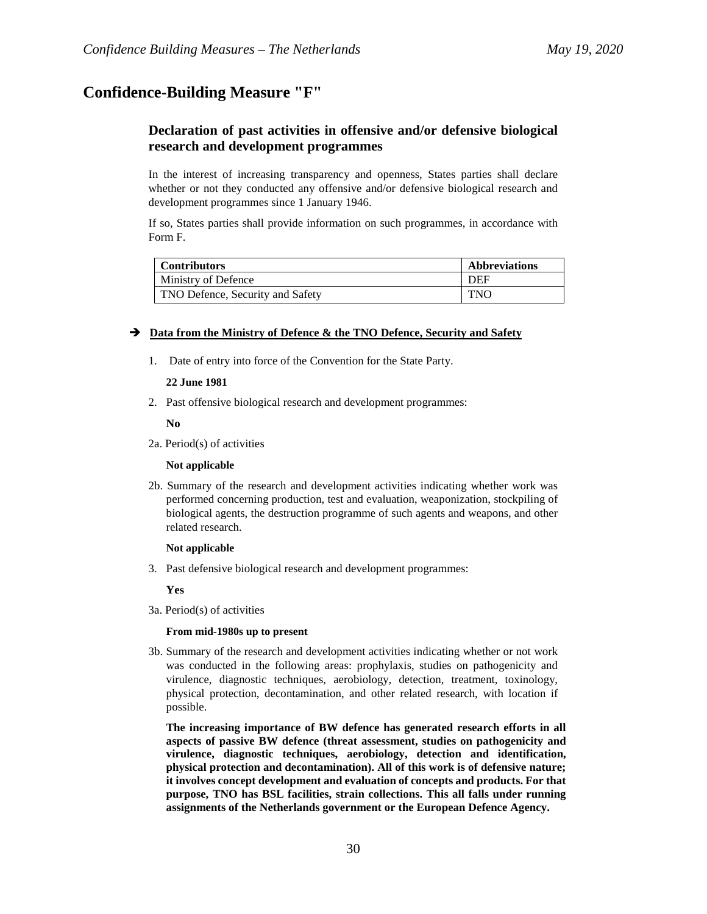# **Confidence-Building Measure "F"**

# **Declaration of past activities in offensive and/or defensive biological research and development programmes**

In the interest of increasing transparency and openness, States parties shall declare whether or not they conducted any offensive and/or defensive biological research and development programmes since 1 January 1946.

If so, States parties shall provide information on such programmes, in accordance with Form F.

| <b>Contributors</b>              | <b>Abbreviations</b> |
|----------------------------------|----------------------|
| Ministry of Defence              | <b>DEF</b>           |
| TNO Defence, Security and Safety | <b>TNO</b>           |

### $\rightarrow$  Data from the Ministry of Defence & the TNO Defence, Security and Safety

1. Date of entry into force of the Convention for the State Party.

### **22 June 1981**

2. Past offensive biological research and development programmes:

**No**

2a. Period(s) of activities

### **Not applicable**

2b. Summary of the research and development activities indicating whether work was performed concerning production, test and evaluation, weaponization, stockpiling of biological agents, the destruction programme of such agents and weapons, and other related research.

### **Not applicable**

3. Past defensive biological research and development programmes:

### **Yes**

3a. Period(s) of activities

### **From mid-1980s up to present**

3b. Summary of the research and development activities indicating whether or not work was conducted in the following areas: prophylaxis, studies on pathogenicity and virulence, diagnostic techniques, aerobiology, detection, treatment, toxinology, physical protection, decontamination, and other related research, with location if possible.

**The increasing importance of BW defence has generated research efforts in all aspects of passive BW defence (threat assessment, studies on pathogenicity and virulence, diagnostic techniques, aerobiology, detection and identification, physical protection and decontamination). All of this work is of defensive nature; it involves concept development and evaluation of concepts and products. For that purpose, TNO has BSL facilities, strain collections. This all falls under running assignments of the Netherlands government or the European Defence Agency.**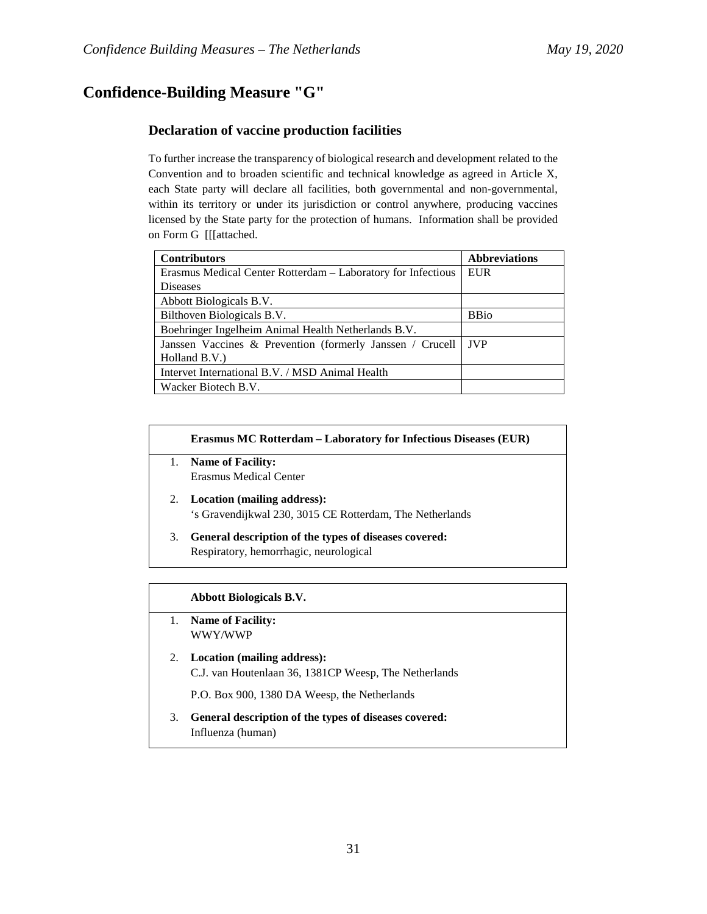# **Confidence-Building Measure "G"**

# **Declaration of vaccine production facilities**

To further increase the transparency of biological research and development related to the Convention and to broaden scientific and technical knowledge as agreed in Article X, each State party will declare all facilities, both governmental and non-governmental, within its territory or under its jurisdiction or control anywhere, producing vaccines licensed by the State party for the protection of humans. Information shall be provided on Form G [[[attached.

| <b>Contributors</b>                                          | <b>Abbreviations</b> |
|--------------------------------------------------------------|----------------------|
| Erasmus Medical Center Rotterdam – Laboratory for Infectious | EUR                  |
| <b>Diseases</b>                                              |                      |
| Abbott Biologicals B.V.                                      |                      |
| Bilthoven Biologicals B.V.                                   | <b>BBio</b>          |
| Boehringer Ingelheim Animal Health Netherlands B.V.          |                      |
| Janssen Vaccines & Prevention (formerly Janssen / Crucell    | <b>JVP</b>           |
| Holland B.V.                                                 |                      |
| Intervet International B.V. / MSD Animal Health              |                      |
| Wacker Biotech B.V.                                          |                      |

### **Erasmus MC Rotterdam – Laboratory for Infectious Diseases (EUR)**

- 1. **Name of Facility:** Erasmus Medical Center
- 2. **Location (mailing address):** 's Gravendijkwal 230, 3015 CE Rotterdam, The Netherlands
- 3. **General description of the types of diseases covered:** Respiratory, hemorrhagic, neurological

## **Abbott Biologicals B.V.**

- 1. **Name of Facility:** WWY/WWP
- 2. **Location (mailing address):** C.J. van Houtenlaan 36, 1381CP Weesp, The Netherlands

P.O. Box 900, 1380 DA Weesp, the Netherlands

3. **General description of the types of diseases covered:** Influenza (human)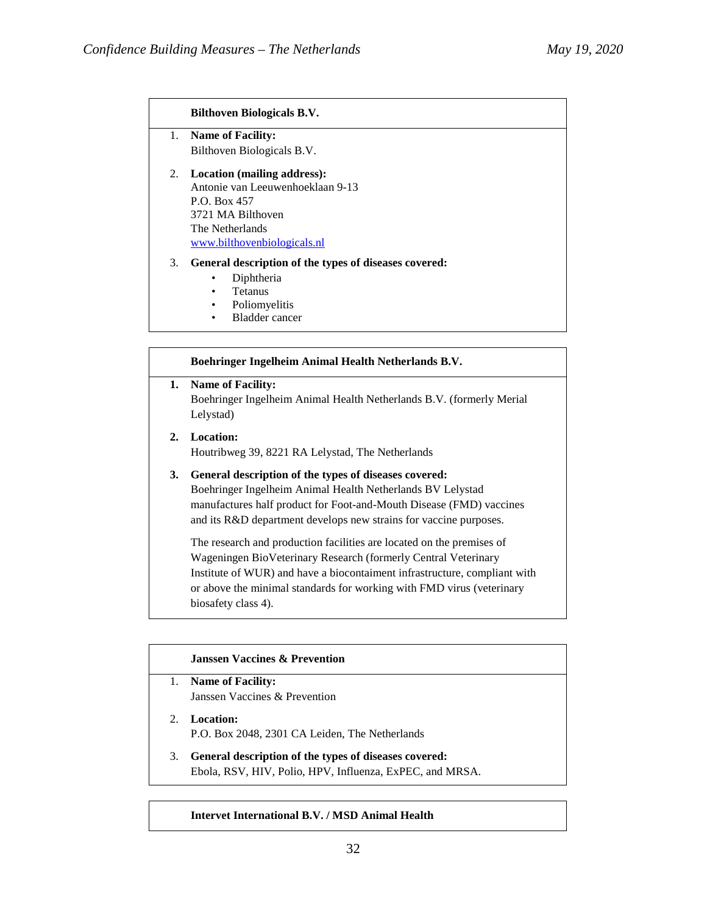### **Bilthoven Biologicals B.V.**

- 1. **Name of Facility:** Bilthoven Biologicals B.V.
- 2. **Location (mailing address):** Antonie van Leeuwenhoeklaan 9-13 P.O. Box 457 3721 MA Bilthoven The Netherlands [www.bilthovenbiologicals.nl](http://www.bilthovenbiologicals.nl/)

### 3. **General description of the types of diseases covered:**

- Diphtheria
- Tetanus
- Poliomyelitis
- Bladder cancer

## **Boehringer Ingelheim Animal Health Netherlands B.V.**

**1. Name of Facility:** Boehringer Ingelheim Animal Health Netherlands B.V. (formerly Merial Lelystad)

**2. Location:** Houtribweg 39, 8221 RA Lelystad, The Netherlands

# **3. General description of the types of diseases covered:** Boehringer Ingelheim Animal Health Netherlands BV Lelystad manufactures half product for Foot-and-Mouth Disease (FMD) vaccines and its R&D department develops new strains for vaccine purposes.

The research and production facilities are located on the premises of Wageningen BioVeterinary Research (formerly Central Veterinary Institute of WUR) and have a biocontaiment infrastructure, compliant with or above the minimal standards for working with FMD virus (veterinary biosafety class 4).

|    | <b>Janssen Vaccines &amp; Prevention</b>                                                                          |
|----|-------------------------------------------------------------------------------------------------------------------|
|    | <b>Name of Facility:</b>                                                                                          |
|    | Janssen Vaccines & Prevention                                                                                     |
|    | 2. Location:<br>P.O. Box 2048, 2301 CA Leiden, The Netherlands                                                    |
| 3. | General description of the types of diseases covered:<br>Ebola, RSV, HIV, Polio, HPV, Influenza, ExPEC, and MRSA. |
|    |                                                                                                                   |

### **Intervet International B.V. / MSD Animal Health**